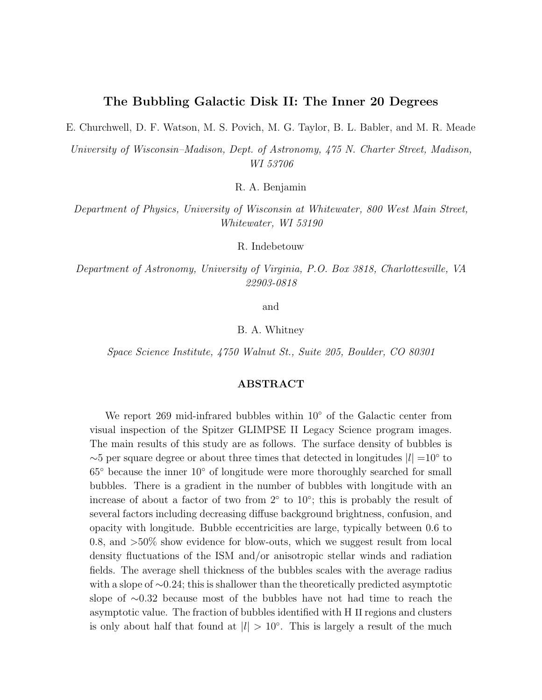# **The Bubbling Galactic Disk II: The Inner 20 Degrees**

E. Churchwell, D. F. Watson, M. S. Povich, M. G. Taylor, B. L. Babler, and M. R. Meade

University of Wisconsin–Madison, Dept. of Astronomy, 475 N. Charter Street, Madison, WI 53706

R. A. Benjamin

Department of Physics, University of Wisconsin at Whitewater, 800 West Main Street, Whitewater, WI 53190

R. Indebetouw

Department of Astronomy, University of Virginia, P.O. Box 3818, Charlottesville, VA 22903-0818

and

B. A. Whitney

Space Science Institute, 4750 Walnut St., Suite 205, Boulder, CO 80301

# **ABSTRACT**

We report 269 mid-infrared bubbles within 10◦ of the Galactic center from visual inspection of the Spitzer GLIMPSE II Legacy Science program images. The main results of this study are as follows. The surface density of bubbles is  $\sim$ 5 per square degree or about three times that detected in longitudes  $|l|$  =10° to 65◦ because the inner 10◦ of longitude were more thoroughly searched for small bubbles. There is a gradient in the number of bubbles with longitude with an increase of about a factor of two from 2◦ to 10◦; this is probably the result of several factors including decreasing diffuse background brightness, confusion, and opacity with longitude. Bubble eccentricities are large, typically between 0.6 to 0.8, and >50% show evidence for blow-outs, which we suggest result from local density fluctuations of the ISM and/or anisotropic stellar winds and radiation fields. The average shell thickness of the bubbles scales with the average radius with a slope of ∼0.24; this is shallower than the theoretically predicted asymptotic slope of ∼0.32 because most of the bubbles have not had time to reach the asymptotic value. The fraction of bubbles identified with H II regions and clusters is only about half that found at  $|l| > 10°$ . This is largely a result of the much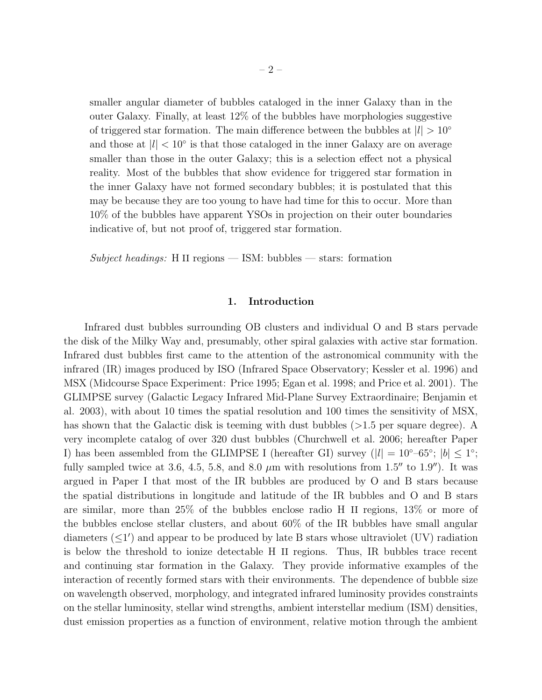smaller angular diameter of bubbles cataloged in the inner Galaxy than in the outer Galaxy. Finally, at least 12% of the bubbles have morphologies suggestive of triggered star formation. The main difference between the bubbles at  $|l| > 10°$ and those at  $|l| < 10°$  is that those cataloged in the inner Galaxy are on average smaller than those in the outer Galaxy; this is a selection effect not a physical reality. Most of the bubbles that show evidence for triggered star formation in the inner Galaxy have not formed secondary bubbles; it is postulated that this may be because they are too young to have had time for this to occur. More than 10% of the bubbles have apparent YSOs in projection on their outer boundaries indicative of, but not proof of, triggered star formation.

 $Subject \ headings: \text{H II regions} \longrightarrow \text{ISM: bubbles} \longrightarrow \text{stars: formation}$ 

# **1. Introduction**

Infrared dust bubbles surrounding OB clusters and individual O and B stars pervade the disk of the Milky Way and, presumably, other spiral galaxies with active star formation. Infrared dust bubbles first came to the attention of the astronomical community with the infrared (IR) images produced by ISO (Infrared Space Observatory; Kessler et al. 1996) and MSX (Midcourse Space Experiment: Price 1995; Egan et al. 1998; and Price et al. 2001). The GLIMPSE survey (Galactic Legacy Infrared Mid-Plane Survey Extraordinaire; Benjamin et al. 2003), with about 10 times the spatial resolution and 100 times the sensitivity of MSX, has shown that the Galactic disk is teeming with dust bubbles ( $>1.5$  per square degree). A very incomplete catalog of over 320 dust bubbles (Churchwell et al. 2006; hereafter Paper I) has been assembled from the GLIMPSE I (hereafter GI) survey  $(|l| = 10^{\circ} - 65^{\circ}; |b| \leq 1^{\circ};$ fully sampled twice at 3.6, 4.5, 5.8, and 8.0  $\mu$ m with resolutions from 1.5" to 1.9"). It was argued in Paper I that most of the IR bubbles are produced by O and B stars because the spatial distributions in longitude and latitude of the IR bubbles and O and B stars are similar, more than 25% of the bubbles enclose radio H II regions, 13% or more of the bubbles enclose stellar clusters, and about 60% of the IR bubbles have small angular diameters  $(\leq 1')$  and appear to be produced by late B stars whose ultraviolet (UV) radiation is below the threshold to ionize detectable H II regions. Thus, IR bubbles trace recent and continuing star formation in the Galaxy. They provide informative examples of the interaction of recently formed stars with their environments. The dependence of bubble size on wavelength observed, morphology, and integrated infrared luminosity provides constraints on the stellar luminosity, stellar wind strengths, ambient interstellar medium (ISM) densities, dust emission properties as a function of environment, relative motion through the ambient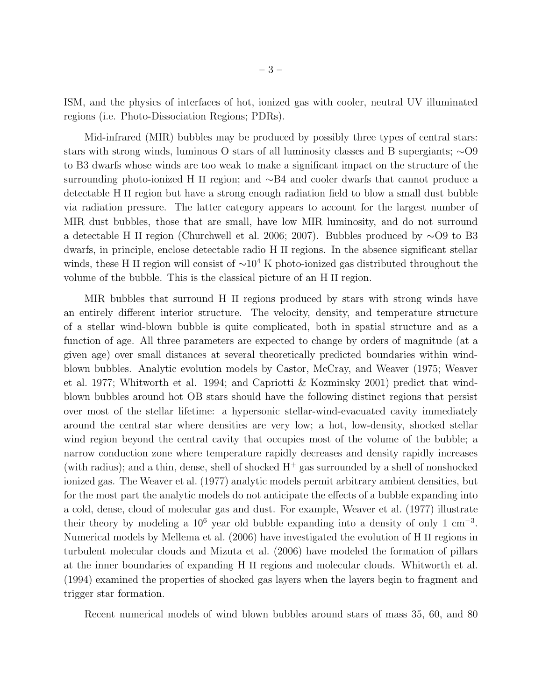ISM, and the physics of interfaces of hot, ionized gas with cooler, neutral UV illuminated regions (i.e. Photo-Dissociation Regions; PDRs).

Mid-infrared (MIR) bubbles may be produced by possibly three types of central stars: stars with strong winds, luminous O stars of all luminosity classes and B supergiants; ∼O9 to B3 dwarfs whose winds are too weak to make a significant impact on the structure of the surrounding photo-ionized H II region; and ∼B4 and cooler dwarfs that cannot produce a detectable H II region but have a strong enough radiation field to blow a small dust bubble via radiation pressure. The latter category appears to account for the largest number of MIR dust bubbles, those that are small, have low MIR luminosity, and do not surround a detectable H II region (Churchwell et al. 2006; 2007). Bubbles produced by ∼O9 to B3 dwarfs, in principle, enclose detectable radio H II regions. In the absence significant stellar winds, these H II region will consist of  $\sim 10^4$  K photo-ionized gas distributed throughout the volume of the bubble. This is the classical picture of an H II region.

MIR bubbles that surround H II regions produced by stars with strong winds have an entirely different interior structure. The velocity, density, and temperature structure of a stellar wind-blown bubble is quite complicated, both in spatial structure and as a function of age. All three parameters are expected to change by orders of magnitude (at a given age) over small distances at several theoretically predicted boundaries within windblown bubbles. Analytic evolution models by Castor, McCray, and Weaver (1975; Weaver et al. 1977; Whitworth et al. 1994; and Capriotti & Kozminsky 2001) predict that windblown bubbles around hot OB stars should have the following distinct regions that persist over most of the stellar lifetime: a hypersonic stellar-wind-evacuated cavity immediately around the central star where densities are very low; a hot, low-density, shocked stellar wind region beyond the central cavity that occupies most of the volume of the bubble; a narrow conduction zone where temperature rapidly decreases and density rapidly increases (with radius); and a thin, dense, shell of shocked  $H^+$  gas surrounded by a shell of nonshocked ionized gas. The Weaver et al. (1977) analytic models permit arbitrary ambient densities, but for the most part the analytic models do not anticipate the effects of a bubble expanding into a cold, dense, cloud of molecular gas and dust. For example, Weaver et al. (1977) illustrate their theory by modeling a  $10^6$  year old bubble expanding into a density of only 1 cm<sup>-3</sup>. Numerical models by Mellema et al. (2006) have investigated the evolution of H II regions in turbulent molecular clouds and Mizuta et al. (2006) have modeled the formation of pillars at the inner boundaries of expanding H II regions and molecular clouds. Whitworth et al. (1994) examined the properties of shocked gas layers when the layers begin to fragment and trigger star formation.

Recent numerical models of wind blown bubbles around stars of mass 35, 60, and 80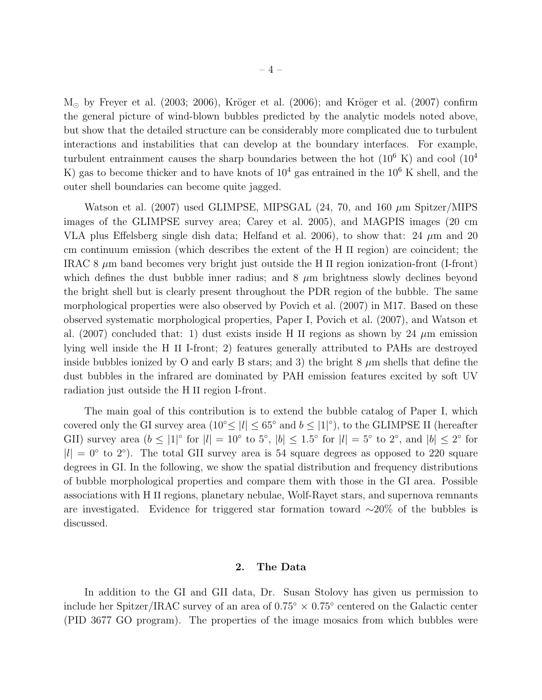$M_{\odot}$  by Freyer et al. (2003; 2006), Kröger et al. (2006); and Kröger et al. (2007) confirm the general picture of wind-blown bubbles predicted by the analytic models noted above, but show that the detailed structure can be considerably more complicated due to turbulent interactions and instabilities that can develop at the boundary interfaces. For example, turbulent entrainment causes the sharp boundaries between the hot  $(10^6 \text{ K})$  and cool  $(10^4 \text{ K})$ K) gas to become thicker and to have knots of  $10^4$  gas entrained in the  $10^6$  K shell, and the outer shell boundaries can become quite jagged.

Watson et al. (2007) used GLIMPSE, MIPSGAL (24, 70, and 160  $\mu$ m Spitzer/MIPS images of the GLIMPSE survey area; Carey et al. 2005), and MAGPIS images (20 cm VLA plus Effelsberg single dish data; Helfand et al. 2006), to show that: 24  $\mu$ m and 20 cm continuum emission (which describes the extent of the H II region) are coincident; the IRAC 8  $\mu$ m band becomes very bright just outside the H II region ionization-front (I-front) which defines the dust bubble inner radius; and  $8 \mu$ m brightness slowly declines beyond the bright shell but is clearly present throughout the PDR region of the bubble. The same morphological properties were also observed by Povich et al. (2007) in M17. Based on these observed systematic morphological properties, Paper I, Povich et al. (2007), and Watson et al. (2007) concluded that: 1) dust exists inside H II regions as shown by 24  $\mu$ m emission lying well inside the H II I-front; 2) features generally attributed to PAHs are destroyed inside bubbles ionized by O and early B stars; and 3) the bright  $8 \mu m$  shells that define the dust bubbles in the infrared are dominated by PAH emission features excited by soft UV radiation just outside the H II region I-front.

The main goal of this contribution is to extend the bubble catalog of Paper I, which covered only the GI survey area  $(10^{\circ} \leq |l| \leq 65^{\circ}$  and  $b \leq |1|^{\circ})$ , to the GLIMPSE II (hereafter GII) survey area  $(b \leq |1|^\circ \text{ for } |l| = 10^\circ \text{ to } 5^\circ, |b| \leq 1.5^\circ \text{ for } |l| = 5^\circ \text{ to } 2^\circ, \text{ and } |b| \leq 2^\circ \text{ for } |b| \leq 1.5^\circ$  $|l| = 0°$  to 2°). The total GII survey area is 54 square degrees as opposed to 220 square degrees in GI. In the following, we show the spatial distribution and frequency distributions of bubble morphological properties and compare them with those in the GI area. Possible associations with H II regions, planetary nebulae, Wolf-Rayet stars, and supernova remnants are investigated. Evidence for triggered star formation toward ∼20% of the bubbles is discussed.

### **2. The Data**

In addition to the GI and GII data, Dr. Susan Stolovy has given us permission to include her Spitzer/IRAC survey of an area of  $0.75^{\circ} \times 0.75^{\circ}$  centered on the Galactic center (PID 3677 GO program). The properties of the image mosaics from which bubbles were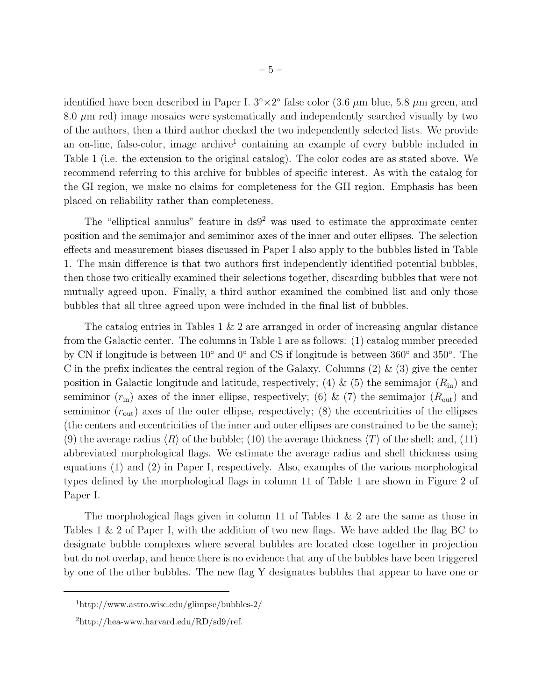identified have been described in Paper I.  $3° \times 2°$  false color (3.6  $\mu$ m blue, 5.8  $\mu$ m green, and 8.0  $\mu$ m red) image mosaics were systematically and independently searched visually by two of the authors, then a third author checked the two independently selected lists. We provide an on-line, false-color, image archive<sup>1</sup> containing an example of every bubble included in Table 1 (i.e. the extension to the original catalog). The color codes are as stated above. We recommend referring to this archive for bubbles of specific interest. As with the catalog for the GI region, we make no claims for completeness for the GII region. Emphasis has been placed on reliability rather than completeness.

The "elliptical annulus" feature in  $ds<sup>2</sup>$  was used to estimate the approximate center position and the semimajor and semiminor axes of the inner and outer ellipses. The selection effects and measurement biases discussed in Paper I also apply to the bubbles listed in Table 1. The main difference is that two authors first independently identified potential bubbles, then those two critically examined their selections together, discarding bubbles that were not mutually agreed upon. Finally, a third author examined the combined list and only those bubbles that all three agreed upon were included in the final list of bubbles.

The catalog entries in Tables 1 & 2 are arranged in order of increasing angular distance from the Galactic center. The columns in Table 1 are as follows: (1) catalog number preceded by CN if longitude is between 10◦ and 0◦ and CS if longitude is between 360◦ and 350◦. The C in the prefix indicates the central region of the Galaxy. Columns  $(2) \& (3)$  give the center position in Galactic longitude and latitude, respectively; (4) & (5) the semimajor  $(R_{\rm in})$  and semiminor  $(r_{\text{in}})$  axes of the inner ellipse, respectively; (6) & (7) the semimajor  $(R_{\text{out}})$  and semiminor  $(r_{\text{out}})$  axes of the outer ellipse, respectively; (8) the eccentricities of the ellipses (the centers and eccentricities of the inner and outer ellipses are constrained to be the same); (9) the average radius  $\langle R \rangle$  of the bubble; (10) the average thickness  $\langle T \rangle$  of the shell; and, (11) abbreviated morphological flags. We estimate the average radius and shell thickness using equations (1) and (2) in Paper I, respectively. Also, examples of the various morphological types defined by the morphological flags in column 11 of Table 1 are shown in Figure 2 of Paper I.

The morphological flags given in column 11 of Tables  $1 \& 2$  are the same as those in Tables 1 & 2 of Paper I, with the addition of two new flags. We have added the flag BC to designate bubble complexes where several bubbles are located close together in projection but do not overlap, and hence there is no evidence that any of the bubbles have been triggered by one of the other bubbles. The new flag Y designates bubbles that appear to have one or

<sup>1</sup>http://www.astro.wisc.edu/glimpse/bubbles-2/

<sup>2</sup>http://hea-www.harvard.edu/RD/sd9/ref.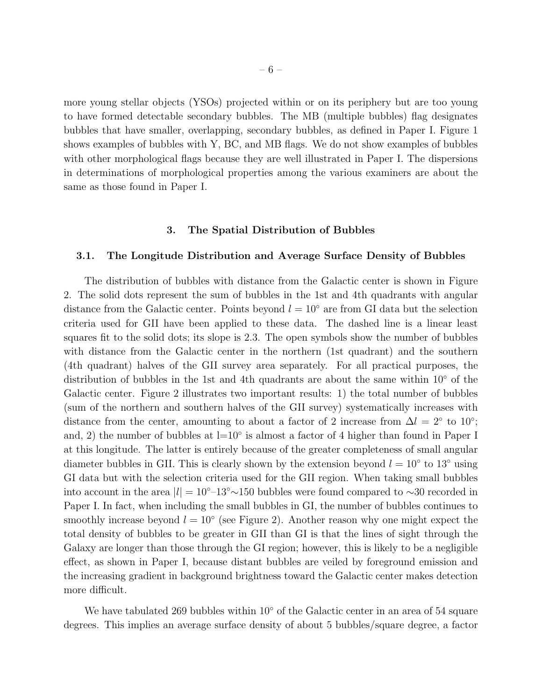more young stellar objects (YSOs) projected within or on its periphery but are too young to have formed detectable secondary bubbles. The MB (multiple bubbles) flag designates bubbles that have smaller, overlapping, secondary bubbles, as defined in Paper I. Figure 1 shows examples of bubbles with Y, BC, and MB flags. We do not show examples of bubbles with other morphological flags because they are well illustrated in Paper I. The dispersions in determinations of morphological properties among the various examiners are about the same as those found in Paper I.

# **3. The Spatial Distribution of Bubbles**

#### **3.1. The Longitude Distribution and Average Surface Density of Bubbles**

The distribution of bubbles with distance from the Galactic center is shown in Figure 2. The solid dots represent the sum of bubbles in the 1st and 4th quadrants with angular distance from the Galactic center. Points beyond  $l = 10°$  are from GI data but the selection criteria used for GII have been applied to these data. The dashed line is a linear least squares fit to the solid dots; its slope is 2.3. The open symbols show the number of bubbles with distance from the Galactic center in the northern (1st quadrant) and the southern (4th quadrant) halves of the GII survey area separately. For all practical purposes, the distribution of bubbles in the 1st and 4th quadrants are about the same within 10◦ of the Galactic center. Figure 2 illustrates two important results: 1) the total number of bubbles (sum of the northern and southern halves of the GII survey) systematically increases with distance from the center, amounting to about a factor of 2 increase from  $\Delta l = 2°$  to 10°; and, 2) the number of bubbles at  $l=10°$  is almost a factor of 4 higher than found in Paper I at this longitude. The latter is entirely because of the greater completeness of small angular diameter bubbles in GII. This is clearly shown by the extension beyond  $l = 10°$  to 13° using GI data but with the selection criteria used for the GII region. When taking small bubbles into account in the area  $|l| = 10°-13°\sim150$  bubbles were found compared to  $\sim30$  recorded in Paper I. In fact, when including the small bubbles in GI, the number of bubbles continues to smoothly increase beyond  $l = 10°$  (see Figure 2). Another reason why one might expect the total density of bubbles to be greater in GII than GI is that the lines of sight through the Galaxy are longer than those through the GI region; however, this is likely to be a negligible effect, as shown in Paper I, because distant bubbles are veiled by foreground emission and the increasing gradient in background brightness toward the Galactic center makes detection more difficult.

We have tabulated 269 bubbles within 10<sup>°</sup> of the Galactic center in an area of 54 square degrees. This implies an average surface density of about 5 bubbles/square degree, a factor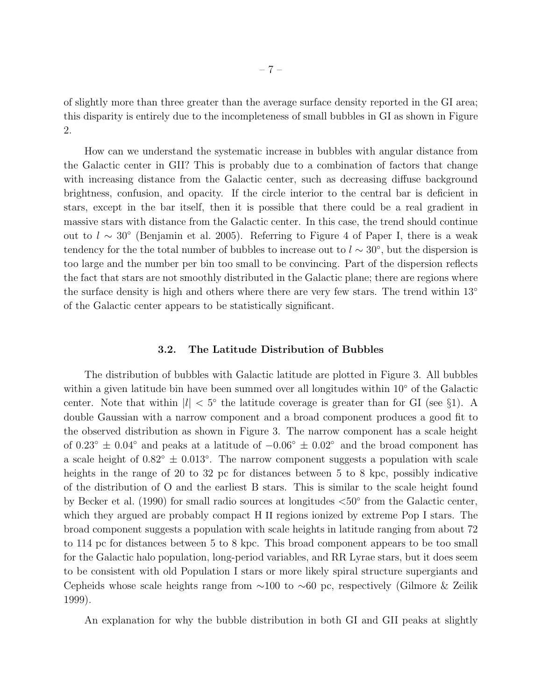of slightly more than three greater than the average surface density reported in the GI area; this disparity is entirely due to the incompleteness of small bubbles in GI as shown in Figure 2.

How can we understand the systematic increase in bubbles with angular distance from the Galactic center in GII? This is probably due to a combination of factors that change with increasing distance from the Galactic center, such as decreasing diffuse background brightness, confusion, and opacity. If the circle interior to the central bar is deficient in stars, except in the bar itself, then it is possible that there could be a real gradient in massive stars with distance from the Galactic center. In this case, the trend should continue out to  $l \sim 30°$  (Benjamin et al. 2005). Referring to Figure 4 of Paper I, there is a weak tendency for the total number of bubbles to increase out to  $l \sim 30^{\circ}$ , but the dispersion is too large and the number per bin too small to be convincing. Part of the dispersion reflects the fact that stars are not smoothly distributed in the Galactic plane; there are regions where the surface density is high and others where there are very few stars. The trend within  $13°$ of the Galactic center appears to be statistically significant.

### **3.2. The Latitude Distribution of Bubbles**

The distribution of bubbles with Galactic latitude are plotted in Figure 3. All bubbles within a given latitude bin have been summed over all longitudes within 10◦ of the Galactic center. Note that within  $|l| < 5^{\circ}$  the latitude coverage is greater than for GI (see §1). A double Gaussian with a narrow component and a broad component produces a good fit to the observed distribution as shown in Figure 3. The narrow component has a scale height of  $0.23° \pm 0.04°$  and peaks at a latitude of  $-0.06° \pm 0.02°$  and the broad component has a scale height of  $0.82° \pm 0.013°$ . The narrow component suggests a population with scale heights in the range of 20 to 32 pc for distances between 5 to 8 kpc, possibly indicative of the distribution of O and the earliest B stars. This is similar to the scale height found by Becker et al. (1990) for small radio sources at longitudes  $\langle 50^\circ$  from the Galactic center, which they argued are probably compact H II regions ionized by extreme Pop I stars. The broad component suggests a population with scale heights in latitude ranging from about 72 to 114 pc for distances between 5 to 8 kpc. This broad component appears to be too small for the Galactic halo population, long-period variables, and RR Lyrae stars, but it does seem to be consistent with old Population I stars or more likely spiral structure supergiants and Cepheids whose scale heights range from ∼100 to ∼60 pc, respectively (Gilmore & Zeilik 1999).

An explanation for why the bubble distribution in both GI and GII peaks at slightly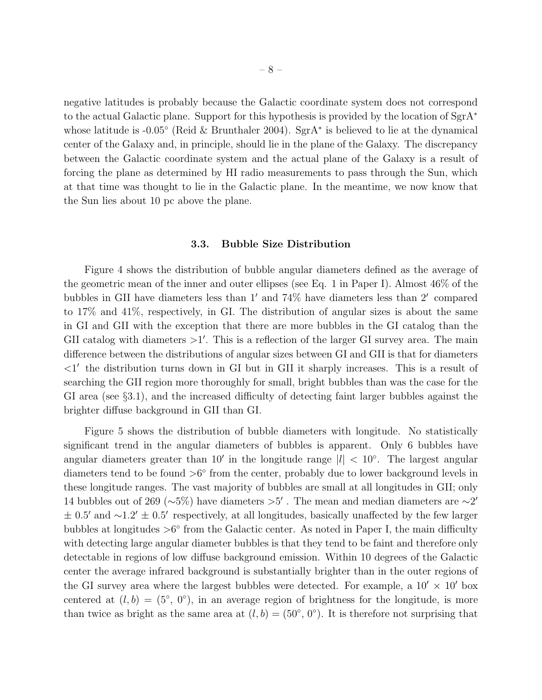negative latitudes is probably because the Galactic coordinate system does not correspond to the actual Galactic plane. Support for this hypothesis is provided by the location of SgrA<sup>∗</sup> whose latitude is -0.05◦ (Reid & Brunthaler 2004). SgrA<sup>∗</sup> is believed to lie at the dynamical center of the Galaxy and, in principle, should lie in the plane of the Galaxy. The discrepancy between the Galactic coordinate system and the actual plane of the Galaxy is a result of forcing the plane as determined by HI radio measurements to pass through the Sun, which at that time was thought to lie in the Galactic plane. In the meantime, we now know that the Sun lies about 10 pc above the plane.

#### **3.3. Bubble Size Distribution**

Figure 4 shows the distribution of bubble angular diameters defined as the average of the geometric mean of the inner and outer ellipses (see Eq. 1 in Paper I). Almost 46% of the bubbles in GII have diameters less than  $1'$  and  $74\%$  have diameters less than  $2'$  compared to 17% and 41%, respectively, in GI. The distribution of angular sizes is about the same in GI and GII with the exception that there are more bubbles in the GI catalog than the GII catalog with diameters  $>1'$ . This is a reflection of the larger GI survey area. The main difference between the distributions of angular sizes between GI and GII is that for diameters  $\langle 1'$  the distribution turns down in GI but in GII it sharply increases. This is a result of searching the GII region more thoroughly for small, bright bubbles than was the case for the GI area (see §3.1), and the increased difficulty of detecting faint larger bubbles against the brighter diffuse background in GII than GI.

Figure 5 shows the distribution of bubble diameters with longitude. No statistically significant trend in the angular diameters of bubbles is apparent. Only 6 bubbles have angular diameters greater than  $10'$  in the longitude range  $|l| < 10°$ . The largest angular diameters tend to be found  $>6°$  from the center, probably due to lower background levels in these longitude ranges. The vast majority of bubbles are small at all longitudes in GII; only 14 bubbles out of 269 ( $\sim$ 5%) have diameters >5'. The mean and median diameters are  $\sim$ 2'  $\pm$  0.5' and ~1.2'  $\pm$  0.5' respectively, at all longitudes, basically unaffected by the few larger bubbles at longitudes  $>6°$  from the Galactic center. As noted in Paper I, the main difficulty with detecting large angular diameter bubbles is that they tend to be faint and therefore only detectable in regions of low diffuse background emission. Within 10 degrees of the Galactic center the average infrared background is substantially brighter than in the outer regions of the GI survey area where the largest bubbles were detected. For example, a  $10' \times 10'$  box centered at  $(l, b) = (5^{\circ}, 0^{\circ})$ , in an average region of brightness for the longitude, is more than twice as bright as the same area at  $(l, b) = (50°, 0°)$ . It is therefore not surprising that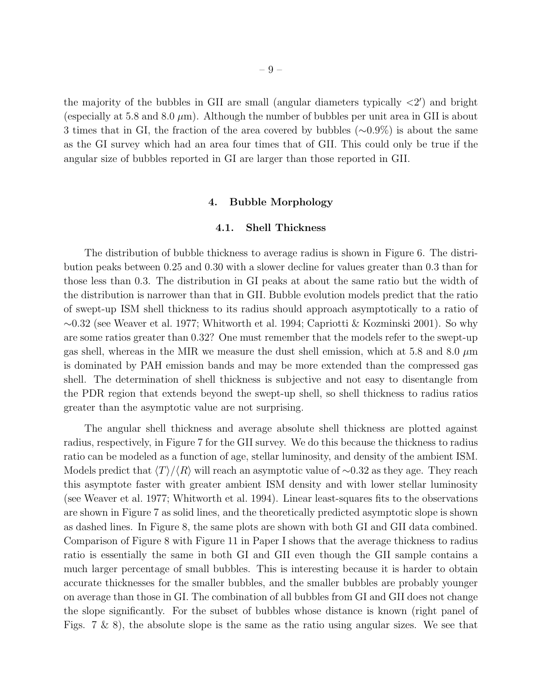the majority of the bubbles in GII are small (angular diameters typically  $\langle 2' \rangle$  and bright (especially at 5.8 and 8.0  $\mu$ m). Although the number of bubbles per unit area in GII is about 3 times that in GI, the fraction of the area covered by bubbles (∼0.9%) is about the same as the GI survey which had an area four times that of GII. This could only be true if the angular size of bubbles reported in GI are larger than those reported in GII.

# **4. Bubble Morphology**

# **4.1. Shell Thickness**

The distribution of bubble thickness to average radius is shown in Figure 6. The distribution peaks between 0.25 and 0.30 with a slower decline for values greater than 0.3 than for those less than 0.3. The distribution in GI peaks at about the same ratio but the width of the distribution is narrower than that in GII. Bubble evolution models predict that the ratio of swept-up ISM shell thickness to its radius should approach asymptotically to a ratio of ∼0.32 (see Weaver et al. 1977; Whitworth et al. 1994; Capriotti & Kozminski 2001). So why are some ratios greater than 0.32? One must remember that the models refer to the swept-up gas shell, whereas in the MIR we measure the dust shell emission, which at 5.8 and 8.0  $\mu$ m is dominated by PAH emission bands and may be more extended than the compressed gas shell. The determination of shell thickness is subjective and not easy to disentangle from the PDR region that extends beyond the swept-up shell, so shell thickness to radius ratios greater than the asymptotic value are not surprising.

The angular shell thickness and average absolute shell thickness are plotted against radius, respectively, in Figure 7 for the GII survey. We do this because the thickness to radius ratio can be modeled as a function of age, stellar luminosity, and density of the ambient ISM. Models predict that  $\langle T \rangle / \langle R \rangle$  will reach an asymptotic value of ~0.32 as they age. They reach this asymptote faster with greater ambient ISM density and with lower stellar luminosity (see Weaver et al. 1977; Whitworth et al. 1994). Linear least-squares fits to the observations are shown in Figure 7 as solid lines, and the theoretically predicted asymptotic slope is shown as dashed lines. In Figure 8, the same plots are shown with both GI and GII data combined. Comparison of Figure 8 with Figure 11 in Paper I shows that the average thickness to radius ratio is essentially the same in both GI and GII even though the GII sample contains a much larger percentage of small bubbles. This is interesting because it is harder to obtain accurate thicknesses for the smaller bubbles, and the smaller bubbles are probably younger on average than those in GI. The combination of all bubbles from GI and GII does not change the slope significantly. For the subset of bubbles whose distance is known (right panel of Figs. 7 & 8), the absolute slope is the same as the ratio using angular sizes. We see that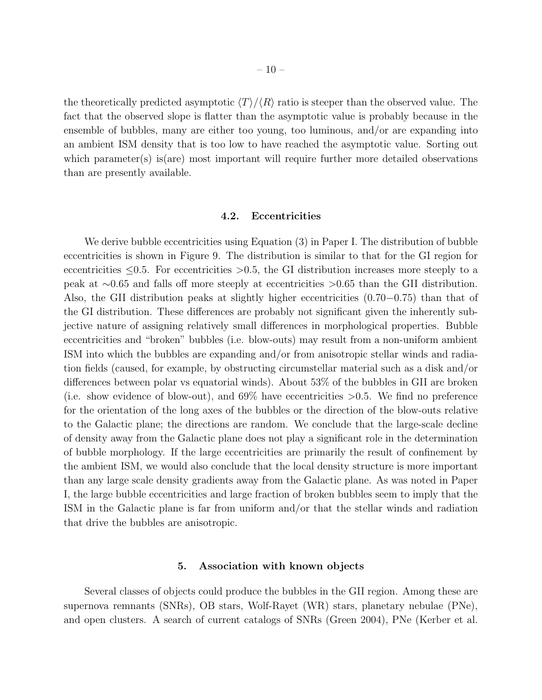the theoretically predicted asymptotic  $\langle T \rangle / \langle R \rangle$  ratio is steeper than the observed value. The fact that the observed slope is flatter than the asymptotic value is probably because in the ensemble of bubbles, many are either too young, too luminous, and/or are expanding into an ambient ISM density that is too low to have reached the asymptotic value. Sorting out which parameter(s) is(are) most important will require further more detailed observations than are presently available.

### **4.2. Eccentricities**

We derive bubble eccentricities using Equation (3) in Paper I. The distribution of bubble eccentricities is shown in Figure 9. The distribution is similar to that for the GI region for eccentricities  $\leq 0.5$ . For eccentricities  $> 0.5$ , the GI distribution increases more steeply to a peak at ∼0.65 and falls off more steeply at eccentricities >0.65 than the GII distribution. Also, the GII distribution peaks at slightly higher eccentricities (0.70−0.75) than that of the GI distribution. These differences are probably not significant given the inherently subjective nature of assigning relatively small differences in morphological properties. Bubble eccentricities and "broken" bubbles (i.e. blow-outs) may result from a non-uniform ambient ISM into which the bubbles are expanding and/or from anisotropic stellar winds and radiation fields (caused, for example, by obstructing circumstellar material such as a disk and/or differences between polar vs equatorial winds). About 53% of the bubbles in GII are broken (i.e. show evidence of blow-out), and  $69\%$  have eccentricities  $>0.5$ . We find no preference for the orientation of the long axes of the bubbles or the direction of the blow-outs relative to the Galactic plane; the directions are random. We conclude that the large-scale decline of density away from the Galactic plane does not play a significant role in the determination of bubble morphology. If the large eccentricities are primarily the result of confinement by the ambient ISM, we would also conclude that the local density structure is more important than any large scale density gradients away from the Galactic plane. As was noted in Paper I, the large bubble eccentricities and large fraction of broken bubbles seem to imply that the ISM in the Galactic plane is far from uniform and/or that the stellar winds and radiation that drive the bubbles are anisotropic.

# **5. Association with known objects**

Several classes of objects could produce the bubbles in the GII region. Among these are supernova remnants (SNRs), OB stars, Wolf-Rayet (WR) stars, planetary nebulae (PNe), and open clusters. A search of current catalogs of SNRs (Green 2004), PNe (Kerber et al.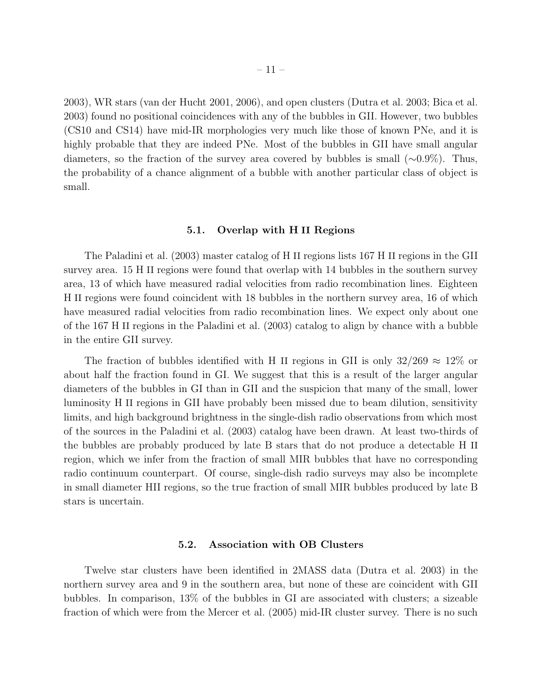2003), WR stars (van der Hucht 2001, 2006), and open clusters (Dutra et al. 2003; Bica et al. 2003) found no positional coincidences with any of the bubbles in GII. However, two bubbles (CS10 and CS14) have mid-IR morphologies very much like those of known PNe, and it is highly probable that they are indeed PNe. Most of the bubbles in GII have small angular diameters, so the fraction of the survey area covered by bubbles is small  $(\sim 0.9\%)$ . Thus, the probability of a chance alignment of a bubble with another particular class of object is small.

#### **5.1. Overlap with H II Regions**

The Paladini et al. (2003) master catalog of H II regions lists 167 H II regions in the GII survey area. 15 H II regions were found that overlap with 14 bubbles in the southern survey area, 13 of which have measured radial velocities from radio recombination lines. Eighteen H II regions were found coincident with 18 bubbles in the northern survey area, 16 of which have measured radial velocities from radio recombination lines. We expect only about one of the 167 H II regions in the Paladini et al. (2003) catalog to align by chance with a bubble in the entire GII survey.

The fraction of bubbles identified with H II regions in GII is only  $32/269 \approx 12\%$  or about half the fraction found in GI. We suggest that this is a result of the larger angular diameters of the bubbles in GI than in GII and the suspicion that many of the small, lower luminosity H II regions in GII have probably been missed due to beam dilution, sensitivity limits, and high background brightness in the single-dish radio observations from which most of the sources in the Paladini et al. (2003) catalog have been drawn. At least two-thirds of the bubbles are probably produced by late B stars that do not produce a detectable H II region, which we infer from the fraction of small MIR bubbles that have no corresponding radio continuum counterpart. Of course, single-dish radio surveys may also be incomplete in small diameter HII regions, so the true fraction of small MIR bubbles produced by late B stars is uncertain.

### **5.2. Association with OB Clusters**

Twelve star clusters have been identified in 2MASS data (Dutra et al. 2003) in the northern survey area and 9 in the southern area, but none of these are coincident with GII bubbles. In comparison, 13% of the bubbles in GI are associated with clusters; a sizeable fraction of which were from the Mercer et al. (2005) mid-IR cluster survey. There is no such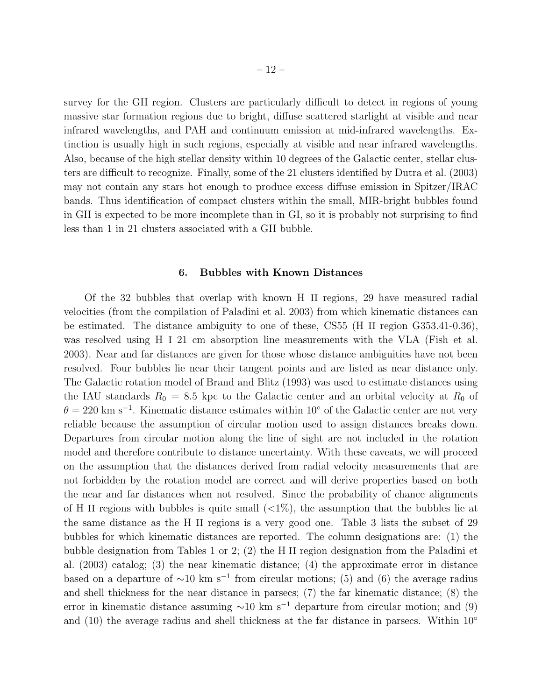survey for the GII region. Clusters are particularly difficult to detect in regions of young massive star formation regions due to bright, diffuse scattered starlight at visible and near infrared wavelengths, and PAH and continuum emission at mid-infrared wavelengths. Extinction is usually high in such regions, especially at visible and near infrared wavelengths. Also, because of the high stellar density within 10 degrees of the Galactic center, stellar clusters are difficult to recognize. Finally, some of the 21 clusters identified by Dutra et al. (2003) may not contain any stars hot enough to produce excess diffuse emission in Spitzer/IRAC bands. Thus identification of compact clusters within the small, MIR-bright bubbles found in GII is expected to be more incomplete than in GI, so it is probably not surprising to find less than 1 in 21 clusters associated with a GII bubble.

### **6. Bubbles with Known Distances**

Of the 32 bubbles that overlap with known H II regions, 29 have measured radial velocities (from the compilation of Paladini et al. 2003) from which kinematic distances can be estimated. The distance ambiguity to one of these, CS55 (H II region G353.41-0.36), was resolved using H I 21 cm absorption line measurements with the VLA (Fish et al. 2003). Near and far distances are given for those whose distance ambiguities have not been resolved. Four bubbles lie near their tangent points and are listed as near distance only. The Galactic rotation model of Brand and Blitz (1993) was used to estimate distances using the IAU standards  $R_0 = 8.5$  kpc to the Galactic center and an orbital velocity at  $R_0$  of  $\theta = 220$  km s<sup>-1</sup>. Kinematic distance estimates within 10<sup>°</sup> of the Galactic center are not very reliable because the assumption of circular motion used to assign distances breaks down. Departures from circular motion along the line of sight are not included in the rotation model and therefore contribute to distance uncertainty. With these caveats, we will proceed on the assumption that the distances derived from radial velocity measurements that are not forbidden by the rotation model are correct and will derive properties based on both the near and far distances when not resolved. Since the probability of chance alignments of H II regions with bubbles is quite small  $\langle 1\% \rangle$ , the assumption that the bubbles lie at the same distance as the H II regions is a very good one. Table 3 lists the subset of 29 bubbles for which kinematic distances are reported. The column designations are: (1) the bubble designation from Tables 1 or 2; (2) the H II region designation from the Paladini et al. (2003) catalog; (3) the near kinematic distance; (4) the approximate error in distance based on a departure of  $\sim 10 \text{ km s}^{-1}$  from circular motions; (5) and (6) the average radius and shell thickness for the near distance in parsecs; (7) the far kinematic distance; (8) the error in kinematic distance assuming  $\sim 10$  km s<sup>-1</sup> departure from circular motion; and (9) and (10) the average radius and shell thickness at the far distance in parsecs. Within  $10^{\circ}$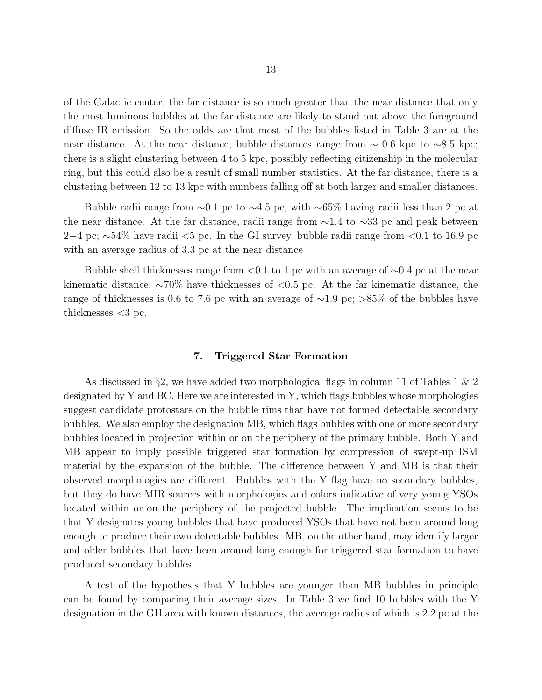of the Galactic center, the far distance is so much greater than the near distance that only the most luminous bubbles at the far distance are likely to stand out above the foreground diffuse IR emission. So the odds are that most of the bubbles listed in Table 3 are at the near distance. At the near distance, bubble distances range from  $\sim 0.6$  kpc to  $\sim 8.5$  kpc; there is a slight clustering between 4 to 5 kpc, possibly reflecting citizenship in the molecular ring, but this could also be a result of small number statistics. At the far distance, there is a clustering between 12 to 13 kpc with numbers falling off at both larger and smaller distances.

Bubble radii range from ∼0.1 pc to ∼4.5 pc, with ∼65% having radii less than 2 pc at the near distance. At the far distance, radii range from ∼1.4 to ∼33 pc and peak between 2−4 pc; ∼54% have radii <5 pc. In the GI survey, bubble radii range from <0.1 to 16.9 pc with an average radius of 3.3 pc at the near distance

Bubble shell thicknesses range from <0.1 to 1 pc with an average of  $\sim 0.4$  pc at the near kinematic distance; ∼70% have thicknesses of <0.5 pc. At the far kinematic distance, the range of thicknesses is 0.6 to 7.6 pc with an average of ∼1.9 pc; >85% of the bubbles have thicknesses  $<$ 3 pc.

# **7. Triggered Star Formation**

As discussed in §2, we have added two morphological flags in column 11 of Tables 1 & 2 designated by Y and BC. Here we are interested in Y, which flags bubbles whose morphologies suggest candidate protostars on the bubble rims that have not formed detectable secondary bubbles. We also employ the designation MB, which flags bubbles with one or more secondary bubbles located in projection within or on the periphery of the primary bubble. Both Y and MB appear to imply possible triggered star formation by compression of swept-up ISM material by the expansion of the bubble. The difference between Y and MB is that their observed morphologies are different. Bubbles with the Y flag have no secondary bubbles, but they do have MIR sources with morphologies and colors indicative of very young YSOs located within or on the periphery of the projected bubble. The implication seems to be that Y designates young bubbles that have produced YSOs that have not been around long enough to produce their own detectable bubbles. MB, on the other hand, may identify larger and older bubbles that have been around long enough for triggered star formation to have produced secondary bubbles.

A test of the hypothesis that Y bubbles are younger than MB bubbles in principle can be found by comparing their average sizes. In Table 3 we find 10 bubbles with the Y designation in the GII area with known distances, the average radius of which is 2.2 pc at the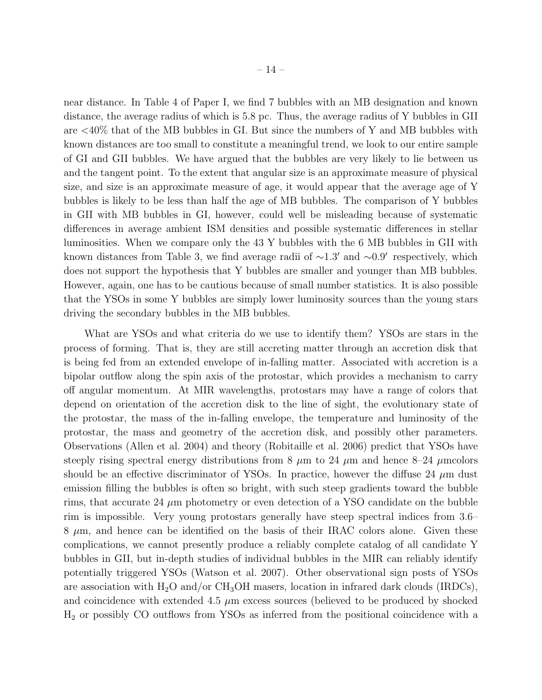near distance. In Table 4 of Paper I, we find 7 bubbles with an MB designation and known distance, the average radius of which is 5.8 pc. Thus, the average radius of Y bubbles in GII are  $\langle 40\%$  that of the MB bubbles in GI. But since the numbers of Y and MB bubbles with known distances are too small to constitute a meaningful trend, we look to our entire sample of GI and GII bubbles. We have argued that the bubbles are very likely to lie between us and the tangent point. To the extent that angular size is an approximate measure of physical size, and size is an approximate measure of age, it would appear that the average age of Y bubbles is likely to be less than half the age of MB bubbles. The comparison of Y bubbles in GII with MB bubbles in GI, however, could well be misleading because of systematic differences in average ambient ISM densities and possible systematic differences in stellar luminosities. When we compare only the 43 Y bubbles with the 6 MB bubbles in GII with known distances from Table 3, we find average radii of  $\sim$ 1.3' and  $\sim$ 0.9' respectively, which does not support the hypothesis that Y bubbles are smaller and younger than MB bubbles. However, again, one has to be cautious because of small number statistics. It is also possible that the YSOs in some Y bubbles are simply lower luminosity sources than the young stars driving the secondary bubbles in the MB bubbles.

What are YSOs and what criteria do we use to identify them? YSOs are stars in the process of forming. That is, they are still accreting matter through an accretion disk that is being fed from an extended envelope of in-falling matter. Associated with accretion is a bipolar outflow along the spin axis of the protostar, which provides a mechanism to carry off angular momentum. At MIR wavelengths, protostars may have a range of colors that depend on orientation of the accretion disk to the line of sight, the evolutionary state of the protostar, the mass of the in-falling envelope, the temperature and luminosity of the protostar, the mass and geometry of the accretion disk, and possibly other parameters. Observations (Allen et al. 2004) and theory (Robitaille et al. 2006) predict that YSOs have steeply rising spectral energy distributions from 8  $\mu$ m to 24  $\mu$ m and hence 8–24  $\mu$ mcolors should be an effective discriminator of YSOs. In practice, however the diffuse 24  $\mu$ m dust emission filling the bubbles is often so bright, with such steep gradients toward the bubble rims, that accurate 24  $\mu$ m photometry or even detection of a YSO candidate on the bubble rim is impossible. Very young protostars generally have steep spectral indices from 3.6–  $8 \mu m$ , and hence can be identified on the basis of their IRAC colors alone. Given these complications, we cannot presently produce a reliably complete catalog of all candidate Y bubbles in GII, but in-depth studies of individual bubbles in the MIR can reliably identify potentially triggered YSOs (Watson et al. 2007). Other observational sign posts of YSOs are association with  $H_2O$  and/or  $CH_3OH$  masers, location in infrared dark clouds (IRDCs), and coincidence with extended 4.5  $\mu$ m excess sources (believed to be produced by shocked H<sup>2</sup> or possibly CO outflows from YSOs as inferred from the positional coincidence with a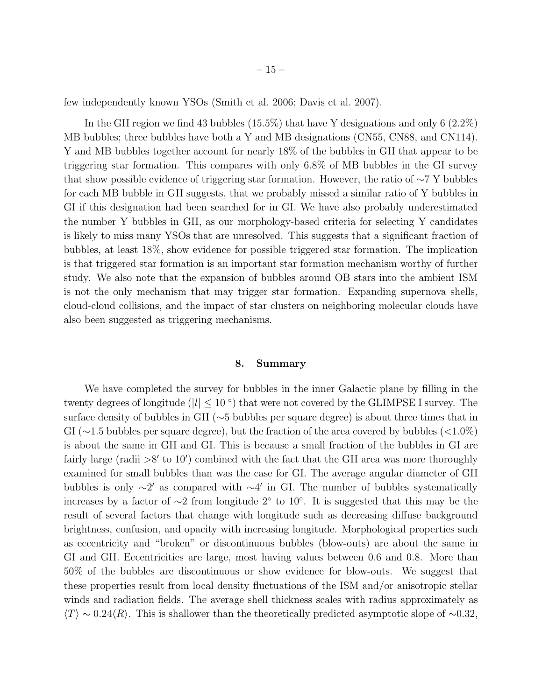few independently known YSOs (Smith et al. 2006; Davis et al. 2007).

In the GII region we find 43 bubbles (15.5%) that have Y designations and only 6 (2.2%) MB bubbles; three bubbles have both a Y and MB designations (CN55, CN88, and CN114). Y and MB bubbles together account for nearly 18% of the bubbles in GII that appear to be triggering star formation. This compares with only 6.8% of MB bubbles in the GI survey that show possible evidence of triggering star formation. However, the ratio of ∼7 Y bubbles for each MB bubble in GII suggests, that we probably missed a similar ratio of Y bubbles in GI if this designation had been searched for in GI. We have also probably underestimated the number Y bubbles in GII, as our morphology-based criteria for selecting Y candidates is likely to miss many YSOs that are unresolved. This suggests that a significant fraction of bubbles, at least 18%, show evidence for possible triggered star formation. The implication is that triggered star formation is an important star formation mechanism worthy of further study. We also note that the expansion of bubbles around OB stars into the ambient ISM is not the only mechanism that may trigger star formation. Expanding supernova shells, cloud-cloud collisions, and the impact of star clusters on neighboring molecular clouds have also been suggested as triggering mechanisms.

# **8. Summary**

We have completed the survey for bubbles in the inner Galactic plane by filling in the twenty degrees of longitude ( $|l| \leq 10$ <sup>o</sup>) that were not covered by the GLIMPSE I survey. The surface density of bubbles in GII (∼5 bubbles per square degree) is about three times that in GI ( $\sim$ 1.5 bubbles per square degree), but the fraction of the area covered by bubbles ( $\lt$ 1.0%) is about the same in GII and GI. This is because a small fraction of the bubbles in GI are fairly large (radii  $>8'$  to 10') combined with the fact that the GII area was more thoroughly examined for small bubbles than was the case for GI. The average angular diameter of GII bubbles is only  $\sim$ 2' as compared with  $\sim$ 4' in GI. The number of bubbles systematically increases by a factor of ∼2 from longitude 2◦ to 10◦. It is suggested that this may be the result of several factors that change with longitude such as decreasing diffuse background brightness, confusion, and opacity with increasing longitude. Morphological properties such as eccentricity and "broken" or discontinuous bubbles (blow-outs) are about the same in GI and GII. Eccentricities are large, most having values between 0.6 and 0.8. More than 50% of the bubbles are discontinuous or show evidence for blow-outs. We suggest that these properties result from local density fluctuations of the ISM and/or anisotropic stellar winds and radiation fields. The average shell thickness scales with radius approximately as  $\langle T \rangle \sim 0.24 \langle R \rangle$ . This is shallower than the theoretically predicted asymptotic slope of ∼0.32,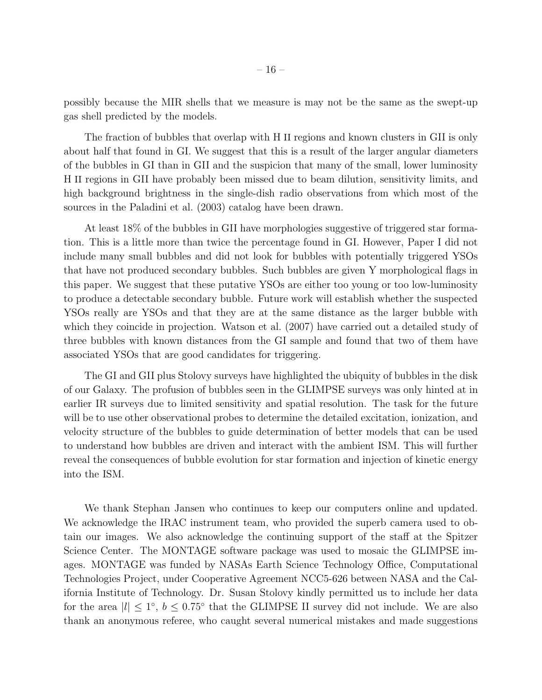possibly because the MIR shells that we measure is may not be the same as the swept-up gas shell predicted by the models.

The fraction of bubbles that overlap with H II regions and known clusters in GII is only about half that found in GI. We suggest that this is a result of the larger angular diameters of the bubbles in GI than in GII and the suspicion that many of the small, lower luminosity H II regions in GII have probably been missed due to beam dilution, sensitivity limits, and high background brightness in the single-dish radio observations from which most of the sources in the Paladini et al. (2003) catalog have been drawn.

At least 18% of the bubbles in GII have morphologies suggestive of triggered star formation. This is a little more than twice the percentage found in GI. However, Paper I did not include many small bubbles and did not look for bubbles with potentially triggered YSOs that have not produced secondary bubbles. Such bubbles are given Y morphological flags in this paper. We suggest that these putative YSOs are either too young or too low-luminosity to produce a detectable secondary bubble. Future work will establish whether the suspected YSOs really are YSOs and that they are at the same distance as the larger bubble with which they coincide in projection. Watson et al. (2007) have carried out a detailed study of three bubbles with known distances from the GI sample and found that two of them have associated YSOs that are good candidates for triggering.

The GI and GII plus Stolovy surveys have highlighted the ubiquity of bubbles in the disk of our Galaxy. The profusion of bubbles seen in the GLIMPSE surveys was only hinted at in earlier IR surveys due to limited sensitivity and spatial resolution. The task for the future will be to use other observational probes to determine the detailed excitation, ionization, and velocity structure of the bubbles to guide determination of better models that can be used to understand how bubbles are driven and interact with the ambient ISM. This will further reveal the consequences of bubble evolution for star formation and injection of kinetic energy into the ISM.

We thank Stephan Jansen who continues to keep our computers online and updated. We acknowledge the IRAC instrument team, who provided the superb camera used to obtain our images. We also acknowledge the continuing support of the staff at the Spitzer Science Center. The MONTAGE software package was used to mosaic the GLIMPSE images. MONTAGE was funded by NASAs Earth Science Technology Office, Computational Technologies Project, under Cooperative Agreement NCC5-626 between NASA and the California Institute of Technology. Dr. Susan Stolovy kindly permitted us to include her data for the area  $|l| \leq 1^{\circ}$ ,  $b \leq 0.75^{\circ}$  that the GLIMPSE II survey did not include. We are also thank an anonymous referee, who caught several numerical mistakes and made suggestions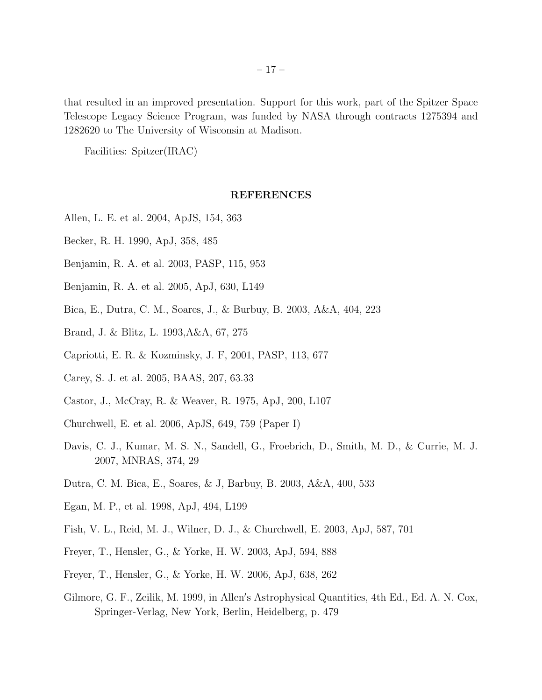that resulted in an improved presentation. Support for this work, part of the Spitzer Space Telescope Legacy Science Program, was funded by NASA through contracts 1275394 and 1282620 to The University of Wisconsin at Madison.

Facilities: Spitzer(IRAC)

# **REFERENCES**

- Allen, L. E. et al. 2004, ApJS, 154, 363
- Becker, R. H. 1990, ApJ, 358, 485
- Benjamin, R. A. et al. 2003, PASP, 115, 953
- Benjamin, R. A. et al. 2005, ApJ, 630, L149
- Bica, E., Dutra, C. M., Soares, J., & Burbuy, B. 2003, A&A, 404, 223
- Brand, J. & Blitz, L. 1993,A&A, 67, 275
- Capriotti, E. R. & Kozminsky, J. F, 2001, PASP, 113, 677
- Carey, S. J. et al. 2005, BAAS, 207, 63.33
- Castor, J., McCray, R. & Weaver, R. 1975, ApJ, 200, L107
- Churchwell, E. et al. 2006, ApJS, 649, 759 (Paper I)
- Davis, C. J., Kumar, M. S. N., Sandell, G., Froebrich, D., Smith, M. D., & Currie, M. J. 2007, MNRAS, 374, 29
- Dutra, C. M. Bica, E., Soares, & J, Barbuy, B. 2003, A&A, 400, 533
- Egan, M. P., et al. 1998, ApJ, 494, L199
- Fish, V. L., Reid, M. J., Wilner, D. J., & Churchwell, E. 2003, ApJ, 587, 701
- Freyer, T., Hensler, G., & Yorke, H. W. 2003, ApJ, 594, 888
- Freyer, T., Hensler, G., & Yorke, H. W. 2006, ApJ, 638, 262
- Gilmore, G. F., Zeilik, M. 1999, in Allen's Astrophysical Quantities, 4th Ed., Ed. A. N. Cox, Springer-Verlag, New York, Berlin, Heidelberg, p. 479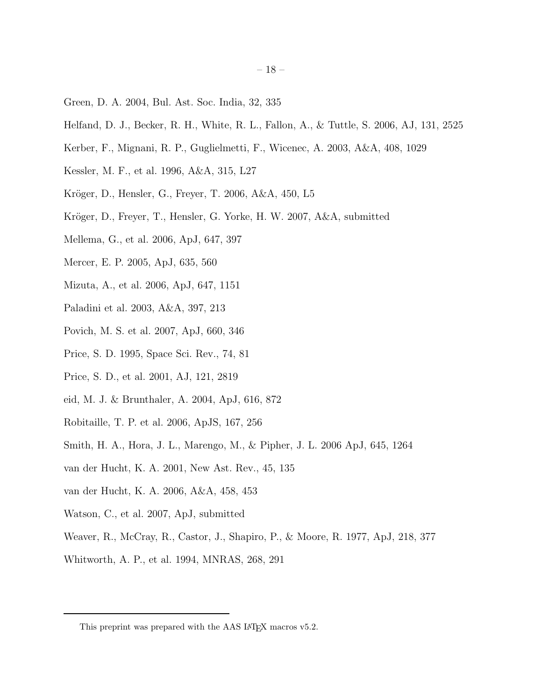- Green, D. A. 2004, Bul. Ast. Soc. India, 32, 335
- Helfand, D. J., Becker, R. H., White, R. L., Fallon, A., & Tuttle, S. 2006, AJ, 131, 2525
- Kerber, F., Mignani, R. P., Guglielmetti, F., Wicenec, A. 2003, A&A, 408, 1029
- Kessler, M. F., et al. 1996, A&A, 315, L27
- Kröger, D., Hensler, G., Freyer, T. 2006, A&A, 450, L5
- Kröger, D., Freyer, T., Hensler, G. Yorke, H. W. 2007, A&A, submitted
- Mellema, G., et al. 2006, ApJ, 647, 397
- Mercer, E. P. 2005, ApJ, 635, 560
- Mizuta, A., et al. 2006, ApJ, 647, 1151
- Paladini et al. 2003, A&A, 397, 213
- Povich, M. S. et al. 2007, ApJ, 660, 346
- Price, S. D. 1995, Space Sci. Rev., 74, 81
- Price, S. D., et al. 2001, AJ, 121, 2819
- eid, M. J. & Brunthaler, A. 2004, ApJ, 616, 872
- Robitaille, T. P. et al. 2006, ApJS, 167, 256
- Smith, H. A., Hora, J. L., Marengo, M., & Pipher, J. L. 2006 ApJ, 645, 1264
- van der Hucht, K. A. 2001, New Ast. Rev., 45, 135
- van der Hucht, K. A. 2006, A&A, 458, 453
- Watson, C., et al. 2007, ApJ, submitted
- Weaver, R., McCray, R., Castor, J., Shapiro, P., & Moore, R. 1977, ApJ, 218, 377
- Whitworth, A. P., et al. 1994, MNRAS, 268, 291

This preprint was prepared with the AAS IATEX macros v5.2.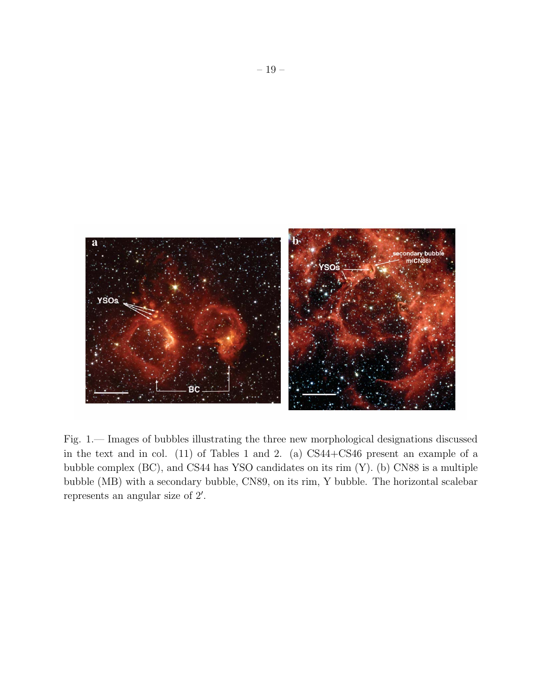

Fig. 1.— Images of bubbles illustrating the three new morphological designations discussed in the text and in col. (11) of Tables 1 and 2. (a) CS44+CS46 present an example of a bubble complex (BC), and CS44 has YSO candidates on its rim (Y). (b) CN88 is a multiple bubble (MB) with a secondary bubble, CN89, on its rim, Y bubble. The horizontal scalebar represents an angular size of 2'.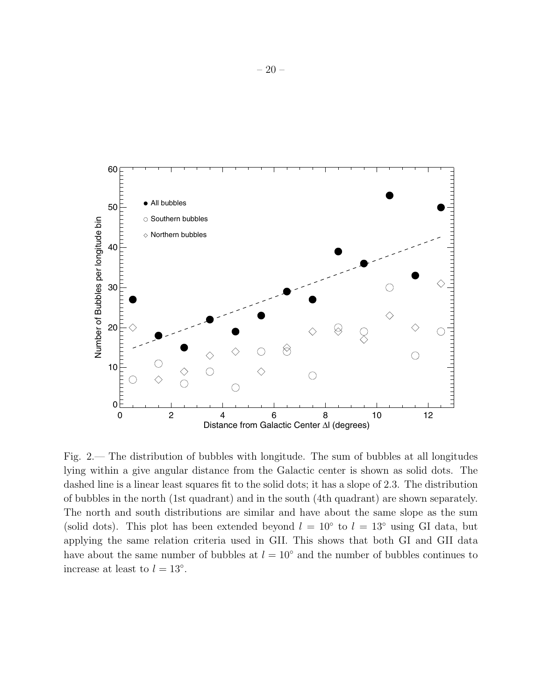

Fig. 2.— The distribution of bubbles with longitude. The sum of bubbles at all longitudes lying within a give angular distance from the Galactic center is shown as solid dots. The dashed line is a linear least squares fit to the solid dots; it has a slope of 2.3. The distribution of bubbles in the north (1st quadrant) and in the south (4th quadrant) are shown separately. The north and south distributions are similar and have about the same slope as the sum (solid dots). This plot has been extended beyond  $l = 10°$  to  $l = 13°$  using GI data, but applying the same relation criteria used in GII. This shows that both GI and GII data have about the same number of bubbles at  $l = 10<sup>°</sup>$  and the number of bubbles continues to increase at least to  $l = 13°$ .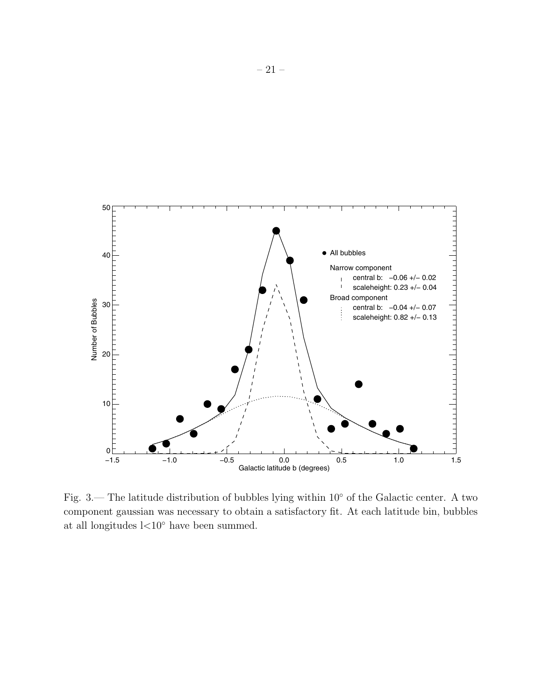

Fig. 3.— The latitude distribution of bubbles lying within 10◦ of the Galactic center. A two component gaussian was necessary to obtain a satisfactory fit. At each latitude bin, bubbles at all longitudes  $l{<}10^{\circ}$  have been summed.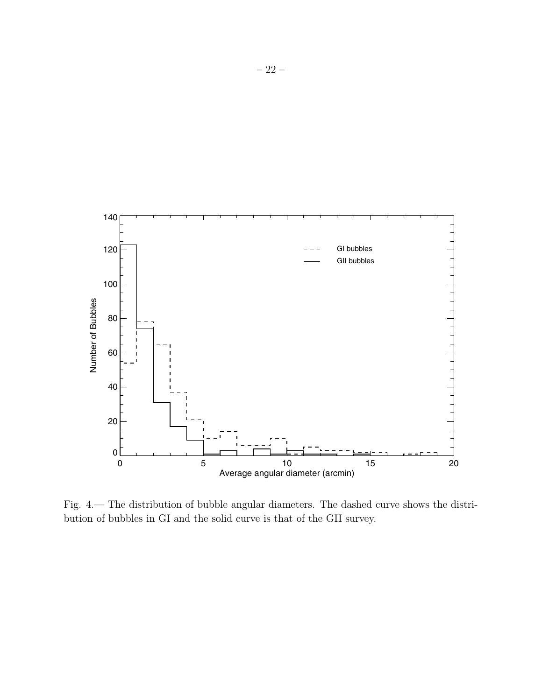

Fig. 4.— The distribution of bubble angular diameters. The dashed curve shows the distribution of bubbles in GI and the solid curve is that of the GII survey.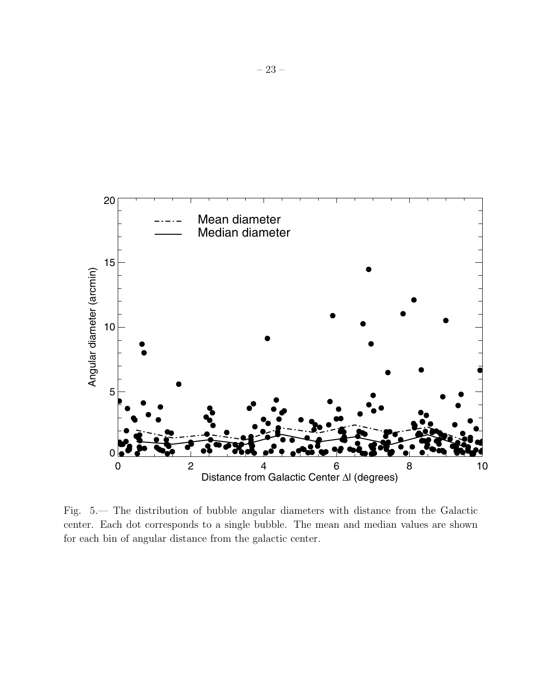

Fig. 5.— The distribution of bubble angular diameters with distance from the Galactic center. Each dot corresponds to a single bubble. The mean and median values are shown for each bin of angular distance from the galactic center.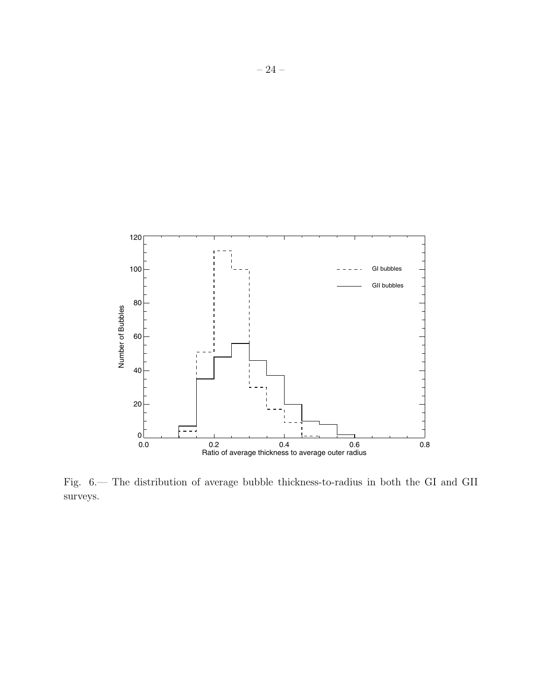

Fig. 6.— The distribution of average bubble thickness-to-radius in both the GI and GII surveys.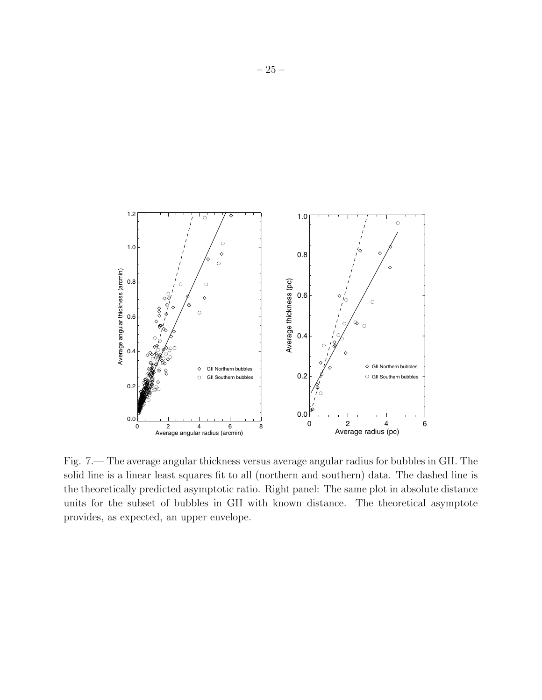

Fig. 7.— The average angular thickness versus average angular radius for bubbles in GII. The solid line is a linear least squares fit to all (northern and southern) data. The dashed line is the theoretically predicted asymptotic ratio. Right panel: The same plot in absolute distance units for the subset of bubbles in GII with known distance. The theoretical asymptote provides, as expected, an upper envelope.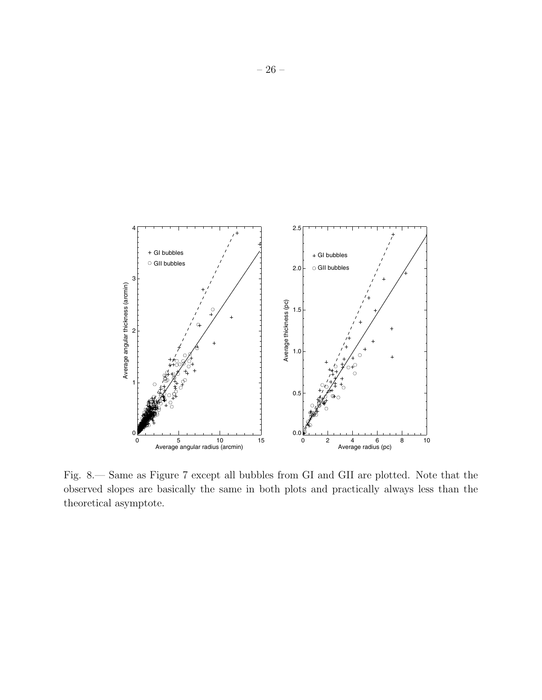

Fig. 8.— Same as Figure 7 except all bubbles from GI and GII are plotted. Note that the observed slopes are basically the same in both plots and practically always less than the theoretical asymptote.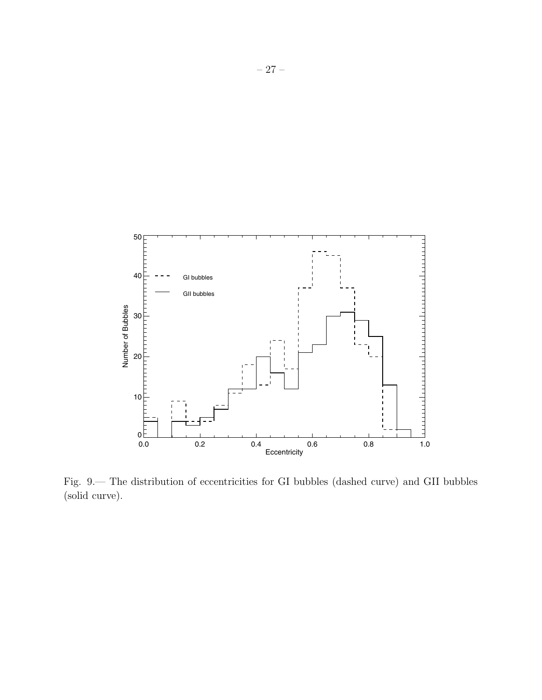

Fig. 9.— The distribution of eccentricities for GI bubbles (dashed curve) and GII bubbles (solid curve).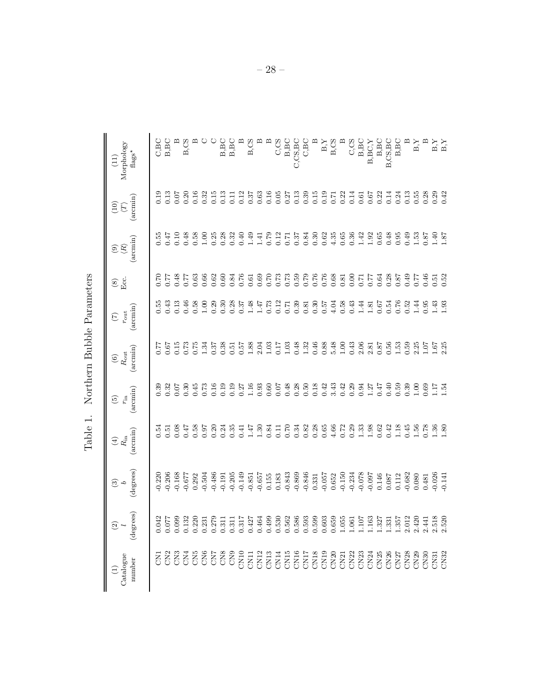| $(\arcsin)$<br>$r_{\rm in}$<br>$\widetilde{\mathbf{e}}$<br>(arcnin)<br>$R_{\rm in}$<br>$\bigoplus$ | $R_{\rm out}$<br>$\odot$ | $(a$ rcmin $)$                    | (arcmin)<br>$r_{\rm out}$                | $\frac{1}{\sqrt{2}}$ | $\left( \arcsin \right)$<br>$\mathfrak{E}$ | $(\arcsin)$<br>Ê | Morphology<br>$\mathrm{flags}^\star$<br>$\begin{pmatrix} 1 \\ 1 \end{pmatrix}$ |
|----------------------------------------------------------------------------------------------------|--------------------------|-----------------------------------|------------------------------------------|----------------------|--------------------------------------------|------------------|--------------------------------------------------------------------------------|
| 0.39<br>0.54                                                                                       |                          |                                   |                                          | 0.70                 | 0.55                                       | 0.19             | C, BC                                                                          |
| 0.32<br>0.51                                                                                       |                          | FE1:00<br>81:00<br>21:00<br>21:00 | $0.55$<br>0.43                           |                      | 7.47                                       | 0.13             | B,BC                                                                           |
| 0.07<br>0.08                                                                                       |                          |                                   | 0.13                                     | 0.48                 | 0.10                                       | 0.07             |                                                                                |
| 0.30<br>0.47                                                                                       |                          |                                   | 0.46                                     | 0.77                 | 0.48                                       | 0.20             | B,CS                                                                           |
| 0.45<br>0.58                                                                                       |                          |                                   | 0.58                                     | 0.63                 | 0.58                                       | 0.16             |                                                                                |
| 0.73<br>0.97                                                                                       |                          |                                   | $\frac{6}{1}$                            | 0.66                 | 1.00                                       | 0.32             |                                                                                |
| 0.16<br>0.20                                                                                       |                          | 0.37                              | 0.29                                     | 0.62                 | 0.25                                       | 0.15             |                                                                                |
| 0.19<br>0.24                                                                                       |                          | 0.38                              | 0.30                                     | 0.60                 | 0.28                                       | 0.13             | B, B                                                                           |
| 0.19<br>0.35                                                                                       |                          | 0.51                              | 0.28                                     | 0.84                 | 0.32                                       | 0.11             | B.BC                                                                           |
| 0.27<br>0.41                                                                                       |                          | $0.57$<br>1.88                    | 0.37                                     | 0.76                 | 0.40                                       | 0.12             |                                                                                |
| 1.16<br>1.47                                                                                       |                          |                                   | 1.48                                     | 0.61                 | 1.49                                       | 0.37             | B,CS                                                                           |
| 0.93<br>1.30                                                                                       |                          |                                   |                                          | 0.69                 | 1.41                                       | 0.63             |                                                                                |
| 0.60<br>0.84                                                                                       |                          | $2.04$<br>$1.03$                  | $1.47$<br>0.73                           | 0.70                 | 0.79                                       | 0.16             |                                                                                |
| 0.07<br>0.11                                                                                       |                          | 0.17                              | 0.12                                     | 0.73                 | 0.12                                       | 0.05             | C,CS                                                                           |
| 0.48<br>0.70                                                                                       |                          | 1.03                              | 0.71                                     | 0.73                 | 0.71                                       | 0.27             | B, B                                                                           |
| 0.28<br>0.34                                                                                       |                          | 0.48                              | 0.39                                     |                      | 0.37                                       | 0.13             | C,CS,BC                                                                        |
| 0.50<br>0.82                                                                                       |                          |                                   | 0.81                                     |                      | 0.84                                       | 0.39             | C, BC                                                                          |
| 0.18<br>0.28                                                                                       |                          | $1.32$<br>0.46<br>5.48            |                                          | 89<br>937.9<br>93.9  |                                            | 0.15             |                                                                                |
| 0.42<br>0.65                                                                                       |                          |                                   | $0.57$<br>$0.57$<br>$4.04$               |                      | $0.30$<br>$0.35$<br>$4.35$                 | 0.19             | B, Y                                                                           |
| 3.43<br>$4.66$<br>0.72                                                                             |                          |                                   |                                          |                      |                                            | 0.71             | B,CS                                                                           |
| 0.42                                                                                               |                          | $\frac{1.00}{0.43}$               | 0.58                                     | 0.81                 | 0.65                                       | 0.22             |                                                                                |
| 0.29<br>0.29                                                                                       |                          |                                   |                                          |                      | 0.36                                       | 0.14             | C,CS                                                                           |
| 0.94<br>$1.33$<br>$1.98$                                                                           |                          | 2.06                              | 3 4 5<br>1 4 5<br>1 5                    |                      | 1.42                                       | 0.61             | B, B C                                                                         |
| 1.27                                                                                               |                          | 2.81                              |                                          | 0.77                 | 1.92                                       | 0.67             | B, BC, Y                                                                       |
| 0.47<br>0.62                                                                                       |                          | 0.87                              | 0.67                                     | 0.64                 | 0.65                                       | 0.22             | B,BC                                                                           |
| 0.40<br>0.42                                                                                       |                          | 0.56                              | 0.54                                     | 0.28                 | 0.48                                       | 0.14             | B, CS, BC                                                                      |
| 0.59<br>1.18                                                                                       |                          | 1.53                              | 0.76                                     | 0.87                 | 0.95                                       | 0.24             | B,BC                                                                           |
| 0.39<br>0.45                                                                                       |                          | 0.59                              | 0.52                                     | 0.49                 | 0.49                                       | 0.13             | മ                                                                              |
| 1.00<br>1.56                                                                                       |                          | 2.25                              | 1.44                                     | 77                   | 1.53                                       | 0.55             | $B_{i}Y$                                                                       |
| 0.69<br>0.78                                                                                       |                          |                                   | 0.95                                     | 0.46                 | 0.87                                       | 0.28             |                                                                                |
|                                                                                                    |                          |                                   |                                          |                      |                                            |                  | ΣŽ                                                                             |
| 1.54<br>1.54<br>$\frac{36}{1.80}$                                                                  |                          | $1.67$<br>2.25<br>1.07            | $\begin{array}{c} 43 \\ -33 \end{array}$ | $0.51$<br>$0.52$     | 1.87<br>1.87                               | 0.29             |                                                                                |

Table 1. Northern Bubble Parameters Table 1. Northern Bubble Parameters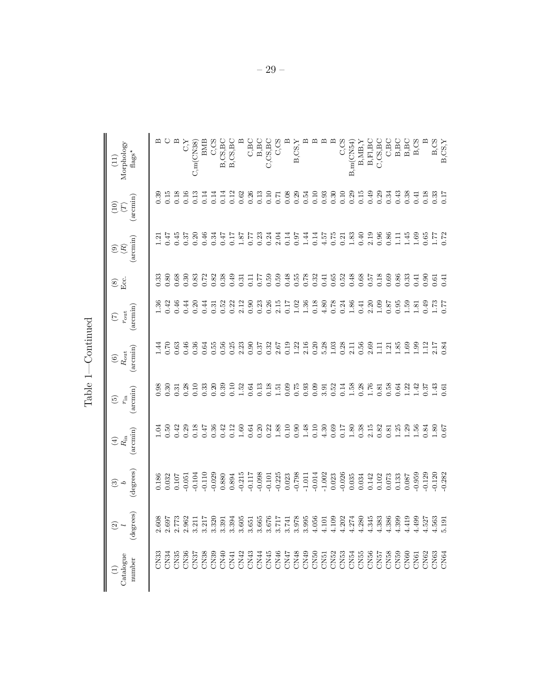| Catalogue<br>number | (degrees)<br>$\mathrel{\mathop{\circ}}$             | (degrees)<br>$\widehat{\mathfrak{G}}$ | $(\arcsin)$<br>$\bigoplus_{\mathbf{R}_{\text{in}}}$ | $(\arcsin)$<br>$r_{\rm in}$<br>$\widetilde{5}$ | (arcnin)<br>$R_{\rm out}$<br>$\widehat{\circ}$                                 | $(\arcsin)$<br>$r_{\rm out}$<br>E                                                   | $\frac{1}{\sqrt{2}}$ | $(\arcsin)$<br>$\circledcirc$ | (arcmin)<br>$\left( \begin{matrix} 10 \ 1 \end{matrix} \right)$<br>$\widehat{E}$ | Morphology<br>${\rm \, flags}^{\star}$<br>$\left(11\right)$ |
|---------------------|-----------------------------------------------------|---------------------------------------|-----------------------------------------------------|------------------------------------------------|--------------------------------------------------------------------------------|-------------------------------------------------------------------------------------|----------------------|-------------------------------|----------------------------------------------------------------------------------|-------------------------------------------------------------|
|                     |                                                     | 0.186                                 | 1.04                                                | 0.98                                           | 1.44                                                                           | $^{36}$                                                                             | 0.33                 | 1.21                          | 0.39                                                                             | മ                                                           |
|                     |                                                     | 0.032                                 | 0.50                                                | 0.30                                           |                                                                                | 0.42                                                                                | 0.80                 | 0.47                          | 0.15                                                                             |                                                             |
|                     |                                                     | 0.107                                 | 0.42                                                | 0.31                                           |                                                                                |                                                                                     | 0.68                 | 0.45                          | 0.18                                                                             |                                                             |
|                     |                                                     | $-0.051$                              | 0.29                                                | 0.28                                           |                                                                                | 0.46                                                                                | 0.30                 | 0.37                          | 0.16                                                                             | Σ,                                                          |
|                     |                                                     | $-0.104$                              | 0.18                                                | 0.10                                           |                                                                                |                                                                                     | 0.83                 | 0.20                          | 0.13                                                                             | C, m(CN38)                                                  |
|                     |                                                     | 0.110                                 | 0.47                                                | 0.33                                           |                                                                                | 0.44                                                                                | 0.72                 | 0.46                          | 0.14                                                                             | BMB                                                         |
|                     |                                                     | $-0.029$                              | 0.36                                                | 0.20                                           |                                                                                |                                                                                     | $\!0.82\!$           | 0.34                          | 0.14                                                                             | C,CS                                                        |
|                     |                                                     |                                       | 0.42                                                | 0.39                                           |                                                                                |                                                                                     | 0.38                 | 7.47                          | 0.14                                                                             | B,CS,BC                                                     |
|                     |                                                     | $0.880$<br>0.894                      | 0.12                                                |                                                | $\begin{array}{c} 0.25 \\ 2.23 \\ 0.90 \\ 0.37 \end{array}$                    | 5.52<br>5.52<br>5.52<br>5.52<br>5.52<br>5.52<br>5.52                                | 0.49                 | 0.17                          | 0.12                                                                             | B, CS, BC                                                   |
|                     |                                                     | $-0.215$                              | 1.60                                                | $0.10$<br>$1.52$                               |                                                                                |                                                                                     | 0.31                 | 1.87                          | 0.62                                                                             |                                                             |
|                     |                                                     | $-0.117$                              | 0.64                                                | 0.64                                           |                                                                                |                                                                                     | 0.11                 | 0.77                          | 0.26                                                                             | C,BC                                                        |
|                     |                                                     | $-0.098$                              | 0.20                                                |                                                |                                                                                |                                                                                     | 0.77                 | 0.23                          | 0.13                                                                             | B, B C                                                      |
|                     |                                                     | $-0.101$                              | 0.22                                                | $\begin{array}{c} 0.13 \\ 0.18 \end{array}$    |                                                                                |                                                                                     | 0.59                 | 0.24                          | 0.10                                                                             | C, CS, BC                                                   |
|                     |                                                     | $-0.225$                              | 1.88                                                | 1.51                                           | $0.32$<br>2.67                                                                 |                                                                                     | 0.59                 | 2.04                          | 0.71                                                                             | C,CS                                                        |
|                     |                                                     | 0.023                                 | 0.10                                                | 0.09                                           |                                                                                |                                                                                     | 0.48                 | 0.14                          | 0.08                                                                             |                                                             |
|                     |                                                     | $-0.798$                              | 0.90                                                | 0.75                                           | $\begin{array}{c} 0.19 \\ 1.21 \\ 2.16 \\ 0.30 \\ 0.53 \\ 0.03 \\ \end{array}$ | $\begin{array}{c} 2.15 \\ 2.17 \\ 0.17 \\ 1.36 \\ 0.18 \\ 0.78 \\ 0.78 \end{array}$ | 5<br>0.78<br>0.32    | 0.97                          | 0.29                                                                             | B,CS, Y                                                     |
|                     |                                                     | $-1.011$                              | 1.48                                                | 0.93                                           |                                                                                |                                                                                     |                      | 1.44                          | 0.54                                                                             |                                                             |
|                     |                                                     | $-0.014$                              | 0.10                                                | 0.09                                           |                                                                                |                                                                                     |                      | 0.14                          | 0.10                                                                             |                                                             |
|                     |                                                     | $-1.002$                              | 4.30                                                | 3.91                                           |                                                                                |                                                                                     | 0.41                 |                               | 0.93                                                                             |                                                             |
|                     |                                                     | 0.023                                 | 0.69                                                | 0.52                                           |                                                                                |                                                                                     | 0.65                 | $4.57$<br>0.75                | 0.30                                                                             |                                                             |
|                     |                                                     | $-0.026$                              | 0.17                                                | $\begin{array}{c} 0.14 \\ 1.58 \end{array}$    | 0.28                                                                           |                                                                                     | 0.52                 | 0.21                          | 0.10                                                                             | C,CS                                                        |
|                     |                                                     | 0.035                                 | 1.80                                                |                                                | 2.11                                                                           | $0.24$<br>1.86                                                                      | 0.48                 | 1.83                          | 0.29                                                                             | <b>B,m</b> (CN54                                            |
|                     |                                                     | 0.034                                 | 0.38                                                | $0.28$<br>1.76                                 | 0.56                                                                           | 0.41                                                                                | 0.68                 | 0.40                          | 0.15                                                                             | B,MB,                                                       |
|                     |                                                     | 0.142                                 | 2.15                                                |                                                | 2.69                                                                           |                                                                                     | 0.57                 | 2.19                          | 0.49                                                                             | $B$ , $F1$ , $BC$                                           |
|                     |                                                     | 0.102                                 | 0.82                                                | 0.81                                           | 1.11                                                                           | $2.20$<br>$1.09$                                                                    | 0.18                 | 0.96                          | 0.29                                                                             | C,CS,BC                                                     |
|                     |                                                     | 0.073                                 | 0.81                                                | 0.58                                           | 1.21                                                                           | 0.87                                                                                | 0.69                 | 0.86                          | 0.34                                                                             | C, BC                                                       |
|                     | 4.399<br>4.419                                      | 0.133                                 | 1.25                                                | 0.64                                           | 1.85                                                                           | 0.95                                                                                | 0.86                 | $\Xi$                         | 0.43                                                                             | $_{\rm B, BC}$                                              |
|                     |                                                     | 0.087                                 | 1.29                                                | 1.22                                           | 1.69                                                                           | 1.59                                                                                | 0.33                 | 1.45                          | 0.38                                                                             | B,BC                                                        |
|                     |                                                     | $-0.959$                              | 1.56                                                | 1.42                                           | 0.99                                                                           | 1.81                                                                                | 0.41                 | 1.69                          | 0.41                                                                             | B,CS                                                        |
|                     | $4.499$<br>$4.527$<br>$4.563$<br>$4.563$<br>$5.191$ | $-0.129$                              | 0.84                                                | 0.37                                           | 1.12                                                                           | 0.49                                                                                | 0.90                 | 0.65                          | 0.18                                                                             |                                                             |
|                     |                                                     |                                       | 1.80                                                | 1.43                                           | 2.17<br>0.84                                                                   | 1.73<br>ST.I                                                                        |                      |                               | 0.33                                                                             | B,CS                                                        |
|                     | $\overline{51}$                                     | $-0.120$<br>$-0.282$                  | 0.67                                                | 0.61                                           |                                                                                |                                                                                     | 0.41<br>0.41         | 1.77<br>0.72                  | 717                                                                              | B, CS, Y                                                    |

Table 1—Continued  $\,$ Table 1—Continued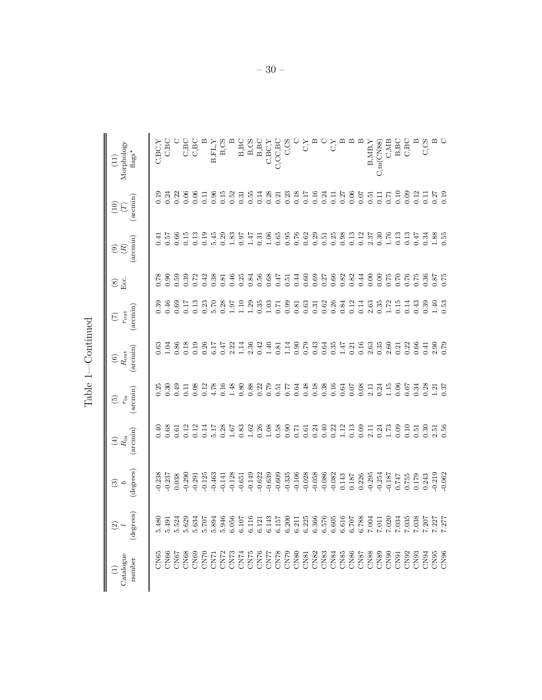| (degrees)<br>(degrees)       |
|------------------------------|
| 0.238                        |
| $-0.237$                     |
| 0.038                        |
| 0.12<br>0.290                |
| $-0.291$                     |
| 0.14<br>$-0.125$<br>$-0.463$ |
| 5.17                         |
| 0.28<br>$-0.141$             |
| 1.67<br>$-0.128$<br>$-0.651$ |
| 0.83                         |
| 1.62<br>$-0.149$             |
| $0.26$<br>1.08<br>$-0.622$   |
| $-0.639$                     |
| 0.58<br>$-0.609$             |
| 0.90<br>$-0.335$             |
| 0.71<br>$-0.106$             |
| 0.61<br>$-0.028$             |
| 0.24<br>$-0.058$             |
| 0.40<br>$-0.086$             |
| 0.22<br>$-0.082$             |
| 1.12<br>0.143                |
| 0.13<br>0.187                |
| 0.09<br>0.226                |
| 2.11<br>$-0.295$             |
| 0.24<br>$-0.254$             |
| 1.73<br>$-0.187$             |
| 0.09<br>0.747                |
| 0.10<br>0.755                |
| 0.51<br>0.179                |
| 0.30<br>0.243                |
| 2.51<br>$-0.219$<br>$-0.062$ |
|                              |

Table 1—Continued  $\,$ Table 1—Continued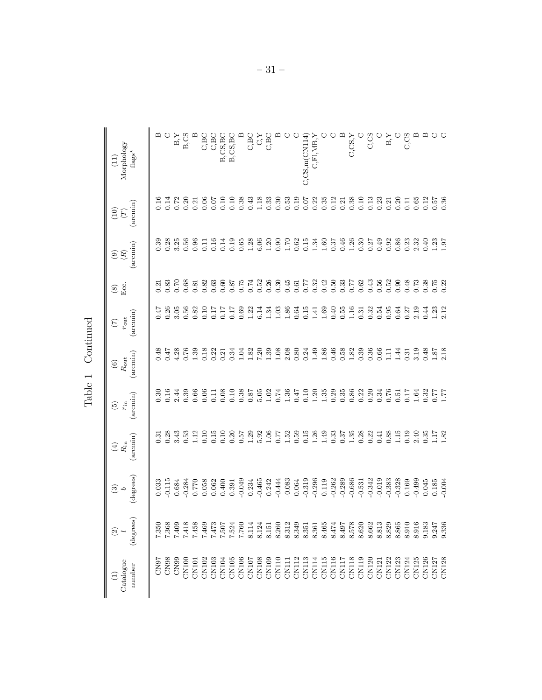| Morphology<br>$\mathrm{flags}^\star$<br>$\Xi$        | $\Box$                                                  |                  |                  | $\begin{array}{c}\n\mathbf{B,Y} \\ \mathbf{B},\mathbf{CS}\n\end{array}$ |                    | C, BC |       | B,CS,BC            | B,CS,BC |                   | $C$ , $BC$ $C$ , $Y$ |              | C, BC             |          |          |       | C, CS, m(CN114 | $C$ , Fl, MB, $\lambda$                                                                                                                                                                                                                                                                                       |       |          |                  | C, CS, Y |                            | C,CS           |          | B, Y                 |          |                  |          |       |                     |       |
|------------------------------------------------------|---------------------------------------------------------|------------------|------------------|-------------------------------------------------------------------------|--------------------|-------|-------|--------------------|---------|-------------------|----------------------|--------------|-------------------|----------|----------|-------|----------------|---------------------------------------------------------------------------------------------------------------------------------------------------------------------------------------------------------------------------------------------------------------------------------------------------------------|-------|----------|------------------|----------|----------------------------|----------------|----------|----------------------|----------|------------------|----------|-------|---------------------|-------|
| $(\arcsin)$<br>$\widetilde{E}$                       |                                                         |                  |                  |                                                                         |                    |       |       |                    |         |                   |                      |              |                   |          |          |       |                | 23<br>2323323323<br>232323323                                                                                                                                                                                                                                                                                 |       |          |                  |          |                            |                |          |                      | 0.20     | 0.11             | 0.65     | 0.12  | $0.57$<br>0.36      |       |
| $(\arcsin)$<br>$\circledcirc$                        |                                                         |                  |                  |                                                                         |                    |       |       |                    |         |                   |                      |              |                   |          |          |       |                | $1.34$<br>$1.60$<br>$0.37$                                                                                                                                                                                                                                                                                    |       |          |                  |          | $0.46$<br>$1.30$<br>$0.30$ | $0.27$<br>0.49 |          | $0.92$<br>$0.86$     |          | 0.23             | 2.32     | 0.40  | $\frac{23}{1.97}$   |       |
| $\frac{1}{\sqrt{2}}$                                 |                                                         |                  |                  |                                                                         |                    |       |       |                    |         |                   |                      |              |                   |          |          |       |                |                                                                                                                                                                                                                                                                                                               |       |          |                  |          |                            |                |          |                      |          |                  |          |       |                     |       |
| (arcnin)<br>$r_{\rm out}$<br>E                       |                                                         |                  |                  |                                                                         |                    |       |       |                    |         |                   |                      |              |                   |          |          | 0.64  |                | $0.148$<br>$0.40$<br>$0.40$                                                                                                                                                                                                                                                                                   |       |          |                  |          |                            |                |          |                      |          |                  | 2.19     | 0.44  | $1.23$<br>2.12      |       |
| $(\arcsin)$<br>$R_{\rm out}$<br>$\widehat{\circ}$    |                                                         |                  |                  |                                                                         |                    |       |       |                    |         |                   |                      |              |                   |          |          |       |                |                                                                                                                                                                                                                                                                                                               |       |          |                  |          |                            |                |          |                      |          | $0.31$<br>$3.19$ |          | 0.48  | $1.87$<br>2.18      |       |
| (arcnin)<br>$r_{\rm in}$<br>$\widetilde{\mathbb{G}}$ |                                                         |                  |                  |                                                                         |                    |       |       |                    |         |                   |                      |              |                   |          |          | 0.47  | 0.10           | $\begin{array}{c} 20 \\ 1.30 \\ 1.30 \\ 0.00 \\ 0.00 \\ 0.00 \\ 0.00 \\ 0.00 \\ 0.00 \\ 0.00 \\ 0.00 \\ 0.00 \\ 0.00 \\ 0.00 \\ 0.00 \\ 0.00 \\ 0.00 \\ 0.00 \\ 0.00 \\ 0.00 \\ 0.00 \\ 0.00 \\ 0.00 \\ 0.00 \\ 0.00 \\ 0.00 \\ 0.00 \\ 0.00 \\ 0.00 \\ 0.00 \\ 0.00 \\ 0.00 \\ 0.00 \\ 0.00 \\ 0.00 \\ 0.00$ |       |          |                  |          |                            |                | 0.34     |                      | 0.51     | 0.17             | 1.64     | 0.32  | 1.77<br>1.77        |       |
| (arcsmin)<br>$\bigoplus_{\mathbf{R}_{\text{in}}}$    | 0.31                                                    |                  |                  |                                                                         |                    |       |       |                    |         |                   |                      |              |                   |          |          |       |                |                                                                                                                                                                                                                                                                                                               |       |          | $0.37$<br>$1.35$ |          | $0.28$<br>$0.22$           |                |          | 0.38<br>0.38<br>0.19 |          |                  | 2.40     | 0.35  | $\frac{17}{1.82}$   |       |
| (degrees)<br>$\frac{3}{6}$                           | $\begin{array}{c} 0.033 \\ -0.115 \\ 0.684 \end{array}$ |                  |                  |                                                                         | $0.784$<br>$0.770$ | 0.058 | 0.062 | $0.400$<br>$0.391$ |         | $-0.049$<br>0.234 |                      | $-0.465$     | 0.242             | $-0.444$ | $-0.083$ | 0.064 | $-0.319$       | $-0.296$                                                                                                                                                                                                                                                                                                      | 0.119 | $-0.262$ | $-0.289$         | $-0.686$ | $-0.531$                   | $-0.342$       | $-0.019$ | $-0.383$             | $-0.328$ | 0.169            | $-0.499$ | 0.045 | $0.185$<br>$-0.004$ |       |
| (degrees)<br>$\widehat{\mathfrak{D}}$                | 7.35 <sub>0</sub>                                       | 7.368            | 7.403            | 7.418                                                                   | 7.458              | 7.469 | 7.473 | 7.507              | 7.524   | 7.760             | 8.114                | 8.12         | 8.15              | 8.260    | 8.312    | 8.349 | 8.35           | 8.36                                                                                                                                                                                                                                                                                                          | 8.46  | 8.474    | 8.497            | 8.578    | 8.62                       | 8.662          | 8.813    | 8.82                 | 8.86     | 8.91             | 8.91     | 9.18  | 9.24                | 9.33  |
| Catalogue<br>number                                  | <b>L6NQ</b>                                             | CN <sub>98</sub> | CN <sub>99</sub> | CN <sub>100</sub>                                                       | CN <sub>101</sub>  | CN102 | CN103 | CN <sub>104</sub>  | CN105   | CN106             | CN <sub>107</sub>    | <b>CN108</b> | CN <sub>109</sub> | CN110    | CN111    | CN112 | CN113          | <b>CN114</b>                                                                                                                                                                                                                                                                                                  | CN115 | CN116    | CN117            | CN118    | CN119                      | CN120          | CN121    | CN122                | CN123    | CN124            | CN125    | CN126 | CN127               | CN128 |

Table 1—Continued  $\,$ Table 1—Continued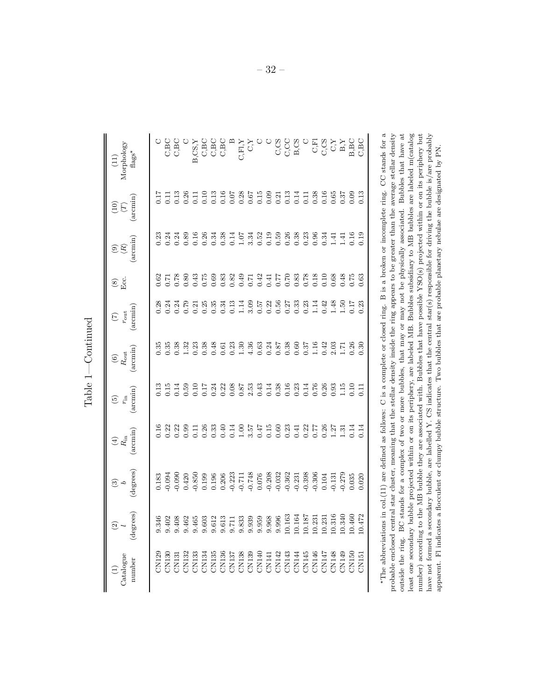| $M$ orphology<br>$\mathrm{flags}^\star$                                    | <b>DOOXDOOM</b><br>BA SAAAA<br>COOXDOOM<br>COOXDOOM<br><b>SOUGO E SA A BOO</b><br><b>COUGO E SA A BOO</b><br>C C A C C C A A BOO<br>U.FI.Y<br>U.F<br>U.Y<br>U                                                                                                                                                                                                                      |
|----------------------------------------------------------------------------|------------------------------------------------------------------------------------------------------------------------------------------------------------------------------------------------------------------------------------------------------------------------------------------------------------------------------------------------------------------------------------|
| $\begin{array}{c} (10) \\ \langle T \rangle \\ (arcmin) \end{array}$       | 0.21<br>0.21<br>0.38<br>0.38<br>0.10<br>0.16<br>0.65<br>0.13<br>$\frac{11}{113}$<br>0.26<br>0.37<br>0.09<br>0.17                                                                                                                                                                                                                                                                   |
| arcsin<br>$\circledcirc$                                                   | 0.16<br>0.26<br>0.34<br>0.38<br>0.14<br>$1.07$<br>3.34<br>$0.52$<br>$0.19$<br>0.19<br>0.24<br>0.89<br>1.41<br>0.16<br>0.23<br>$\overline{141}$                                                                                                                                                                                                                                     |
| $\circledast$                                                              | 8<br>8 5 8 9 9 9 9 9 9<br>9 0 0 0 0 0 0 0<br>$\begin{array}{c} 89.83 \\ 89.74 \\ 19.60 \\ 0.00 \\ 0.00 \\ 0.00 \\ 0.00 \\ 0.00 \\ 0.00 \\ 0.00 \\ 0.00 \\ 0.00 \\ 0.00 \\ 0.00 \\ 0.00 \\ 0.00 \\ 0.00 \\ 0.00 \\ 0.00 \\ 0.00 \\ 0.00 \\ 0.00 \\ 0.00 \\ 0.00 \\ 0.00 \\ 0.00 \\ 0.00 \\ 0.00 \\ 0.00 \\ 0.00 \\ 0.00 \\ 0.00 \\ 0.00 \\ 0.00 \\ 0.00 \\$<br>3.48<br>3.75<br>3.63 |
| $r_{\text{out}}$<br>(arcmin)<br>$(\tilde{\mathcal{L}})$                    | $0.13$<br>$-1.3$<br>$-3.09$<br>$0.22$<br>$0.56$<br>$0.27$<br>$0.33$<br>0.23<br>$1.14$<br>0.42<br>1.48<br>0.24<br>0.79<br>0.25<br>0.35<br>0.34<br>0.57<br>$-50$<br>7.17<br>0.23<br>0.24<br>0.21                                                                                                                                                                                     |
| arcmin<br>$\stackrel{(6)}{R}_{\rm out}$                                    | 4.36<br>0.38<br>0.48<br>0.23<br>1.30<br>0.63<br>0.24<br>0.87<br>0.38<br>$0.57$<br>$0.37$<br>$1.42$<br>$0.42$<br>$\frac{32}{0.23}$<br>2.03<br>0.26<br>0.30<br>$\frac{35}{0.38}$<br>0.61<br>$\overline{71}$<br>0.35                                                                                                                                                                  |
| $\begin{array}{c} \text{(5)} \\ r_{\rm in} \\ \text{(arcmin)} \end{array}$ | 15<br>0.10<br>$\overline{11}$                                                                                                                                                                                                                                                                                                                                                      |
| $\begin{array}{c} (4) \\ R_{\rm in} \\ (arcmin) \end{array}$               | $1.00$<br>$3.57$<br>$0.47$<br>0.15<br>0.63<br>0.23<br>0.5<br>0.77<br>0.26<br>$0.22$<br>0.22<br>0.99<br>0.26<br>0.33<br>0.40<br>0.14<br>1.27<br>0.14<br>0.14<br>0.16<br>0.11<br>$\overline{.31}$                                                                                                                                                                                    |
| (degrees)<br>$\odot$ $\circ$                                               | $\begin{array}{l} 0.0900\\ 0.0900\\ 0.0900\\ 0.0900\\ 0.0900\\ 0.0900\\ 0.0900\\ 0.0900\\ 0.0900\\ 0.0900\\ 0.0900\\ 0.0900\\ 0.0900\\ 0.0900\\ 0.0900\\ 0.0900\\ 0.0900\\ 0.0900\\ 0.0900\\ 0.0900\\ 0.0900\\ 0.0900\\ 0.0900\\ 0.0900\\ 0.0900\\ 0.0900\\ 0.09$<br>0.183<br>0.020                                                                                                |
| (degrees)<br>$\widehat{\infty}$                                            | 9.959<br>9.968<br>9.969<br>9.969<br>9.968<br>9.969<br>9.969<br>9.960<br>10.127<br>10.40<br>10.40<br>10.40<br>10.472<br>$\begin{array}{l} 9.612 \\ 9.613 \\ 9.711 \\ 9.833 \\ 9.939 \end{array}$<br>9.346<br>$9.402$<br>$9.408$<br>$9.462$<br>$9.465$<br>$9.603$                                                                                                                    |
| $\frac{(1)}{\text{Catalogue}}$<br>number                                   | ${\small 23 \atop 25 \atop 25 \atop 25 \atop 25 \atop 25 \atop 25 \atop 25 \atop 25 \atop 25 \atop 25 \atop 25 \atop 25 \atop 25 \atop 25 \atop 25 \atop 25 \atop 25 \atop 25 \atop 25 \atop 25 \atop 25 \atop 25 \atop 25 \atop 25 \atop 25 \atop 25 \atop 25 \atop 25 \atop 25 \atop 25 \atop 25 \atop 25 \atop 25 \atop 25 \atop 25 \atop 2$                                    |

Table 1-Continued Table 1—Continued

outside the ring. BC stands for a complex of two or more bubbles, that may or may not be physically associated. Bubbles that have at least one secondary bubble projected within or on its periphery, are labeled MB. Bubbles probable enclosed central star cluster, meaning that the stellar density inside the ring appears to be greater than the average stellar density The abbreviations in col.(11) are defined as follows: C is a complete or closed ring. B is a broken or incomplete ring. CC stands for a probable enclosed central star cluster, meaning that the stellar density inside the ring appears to be greater than the average stellar density outside the ring. BC stands for a complex of two or more bubbles, that may or may not be physically associated. Bubbles that have at least one secondary bubble projected within or on its periphery, are labeled MB. Bubbles subsidiary to MB bubbles are labeled m(catalog number) according to the MB bubble they are associated with. Bubbles that have possible YSO(s) projected within or on its periphery but have not formed a secondary bubble, are labelled Y. CS indicates that the central star(s) responsible for driving the bubble is/are probably apparent. Fl indicates a flocculent or clumpy bubble structure. Two bubbles that are probable planetary nebulae are designated by PN.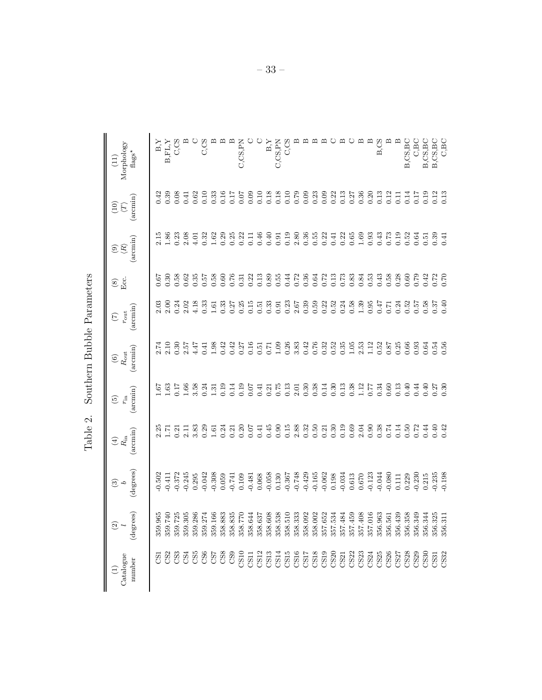| Morphology<br>$\mathrm{flags}^\star$<br>$\begin{pmatrix} 1 \ 1 \end{pmatrix}$ | B, Y     | $\mathbf{B}, \mathbf{FL}, \mathbf{Y}$ | C,CS                 |                                                                                                                                                                                                                                                                                                                        |          | C,CS                       |          |       |          | C, CS, PN |          |                              | Г.<br>Д  | C,CS,PN | C,C                                                      |      |      |                                      |      |                                                                                                                                                                                                                                                                                                               |                                                           |             |                            |             | ី<br>ក   |             |             | B,CS,BC      | C, B        | B, CS, BC   | $\begin{array}{c} \text{B}, \text{CS}, \text{BC} \\ \text{C}, \text{BC} \end{array}$ |                |
|-------------------------------------------------------------------------------|----------|---------------------------------------|----------------------|------------------------------------------------------------------------------------------------------------------------------------------------------------------------------------------------------------------------------------------------------------------------------------------------------------------------|----------|----------------------------|----------|-------|----------|-----------|----------|------------------------------|----------|---------|----------------------------------------------------------|------|------|--------------------------------------|------|---------------------------------------------------------------------------------------------------------------------------------------------------------------------------------------------------------------------------------------------------------------------------------------------------------------|-----------------------------------------------------------|-------------|----------------------------|-------------|----------|-------------|-------------|--------------|-------------|-------------|--------------------------------------------------------------------------------------|----------------|
| $(\arcsin)$<br>$\left(10\right)$<br>Ê                                         | 0.42     | 0.39                                  | 0.08                 | 0.41                                                                                                                                                                                                                                                                                                                   | 0.62     | 0.10                       | 0.33     | 0.16  | 0.17     | 0.07      | 0.09     | 0.10                         | 0.18     | 0.18    |                                                          |      |      |                                      |      | 0.22                                                                                                                                                                                                                                                                                                          | $0.13$<br>$0.27$                                          |             | 0.36                       | 0.20        | 0.13     | 0.12        | 0.11        | 0.14         | 0.17        | 0.19        | 0.12                                                                                 | 0.13           |
| (arcmin)<br>$\mathfrak{B}$<br>$\large \textcircled{\small 9}$                 | 2.15     | 1.86                                  | 0.23                 | 2.08                                                                                                                                                                                                                                                                                                                   | 4.01     | 0.32                       | 1.62     | 0.29  | 0.25     | 0.22      | 0.11     | 0.46                         | 0.40     |         | $0.91$<br>$0.19$                                         |      |      | $2.80$<br>$0.36$<br>$0.52$<br>$0.41$ |      |                                                                                                                                                                                                                                                                                                               | $0.\overline{36}$<br>$0.\overline{6}$<br>$1.\overline{6}$ |             |                            | 0.93        | 0.43     | 0.73        | 0.19        | 0.52         | 0.64        | 0.51        | 0.39                                                                                 | $\overline{1}$ |
| $\frac{1}{\sqrt{2}}$                                                          | 0.67     | 0.30                                  | 0.58                 | 0.62                                                                                                                                                                                                                                                                                                                   | $0.35\,$ | 0.57                       | $0.58\,$ | 0.60  | 0.76     | 0.31      | 0.22     | 0.13                         | 0.89     | 0.55    |                                                          |      |      |                                      |      | $\begin{array}{c} 41 \\ 0.78 \\ 0.00 \\ 0.00 \\ 0.00 \\ 0.00 \\ 0.00 \\ 0.00 \\ 0.00 \\ 0.00 \\ 0.00 \\ 0.00 \\ 0.00 \\ 0.00 \\ 0.00 \\ 0.00 \\ 0.00 \\ 0.00 \\ 0.00 \\ 0.00 \\ 0.00 \\ 0.00 \\ 0.00 \\ 0.00 \\ 0.00 \\ 0.00 \\ 0.00 \\ 0.00 \\ 0.00 \\ 0.00 \\ 0.00 \\ 0.00 \\ 0.00 \\ 0.00 \\ 0.00 \\ 0.00$ |                                                           |             | 0.84                       |             | 0.43     | 0.58        | 0.28        | 0.60         | 0.79        | 0.42        | $0.72$<br>$0.70$                                                                     |                |
| (arcnin)<br>$r_{\rm out}$<br>$\mathfrak{C}$                                   |          | $\frac{0.3}{2.00}$                    |                      | $0.24$<br>$2.02$                                                                                                                                                                                                                                                                                                       |          | $4.33$<br>$0.33$<br>$0.33$ |          |       | 0.27     |           |          | 0.15<br>0.15<br>0.33         |          | 0.91    |                                                          |      |      |                                      |      | 35 28 38 38 38 39<br>20 30 30 30 30 30 30 30<br>30 30 30 30 30 30 30                                                                                                                                                                                                                                          |                                                           |             |                            |             | 0.47     | 0.71        | 0.24        | 0.52         | 0.57        | 0.58        | $0.37$<br>0.40                                                                       |                |
| $(\arcsin)$<br>$R_{\rm out}$<br>$\circledcirc$                                |          |                                       |                      | 2.74<br>2.10<br>2.57<br>2.57                                                                                                                                                                                                                                                                                           |          | $4.47$<br>0.41<br>1.98     |          | 0.42  | 0.42     |           |          | 0.27<br>0.55<br>0.51<br>0.51 |          |         |                                                          |      |      |                                      |      | $\begin{array}{cccc}\n688348838953132 \\  & 68346333653123 \\  & 69366633611 \\  & 6936663361\n\end{array}$                                                                                                                                                                                                   |                                                           |             |                            |             |          | 0.87        | 0.25        | 0.66         | 0.93        | 0.64        | $0.54$<br>0.56                                                                       |                |
| $(\arcsin)$<br>$r_{\rm in}$<br>$\widetilde{\Theta}$                           | $-1.67$  | .63                                   | 7.17                 | 1.66                                                                                                                                                                                                                                                                                                                   | 3.58     | 0.24                       | 1.31     | 0.19  | 0.14     | 0.19      | 0.07     | 0.41                         | 0.21     |         | $0.75$<br>$0.13$                                         | 2.01 |      | $0.30$<br>$0.38$                     |      | $\begin{array}{c} 0.14 \\ 0.30 \\ 0.13 \end{array}$                                                                                                                                                                                                                                                           |                                                           |             | $0.38$<br>$1.12$<br>$0.77$ |             | 0.34     | 0.60        | 0.13        | 0.40         | 0.44        | 0.40        | $\frac{0.27}{0.30}$                                                                  |                |
| $(\arcsin)$<br>$R_{\rm in}$<br>$\bigoplus$                                    | 2.25     |                                       | 0.21                 | 2.11                                                                                                                                                                                                                                                                                                                   | 3.83     | 0.29                       | 1.61     | 0.24  | 0.21     | 0.20      | 0.07     | 0.41                         | 0.45     | 0.90    | 0.15                                                     | 2.88 | 0.32 | 0.50                                 | 0.21 | 0.30                                                                                                                                                                                                                                                                                                          | 0.19                                                      | 0.69        | 2.04                       | 0.90        | 0.38     | 0.74        | 0.14        | 0.50         | 0.72        | 0.44        | 0.40                                                                                 | 0.42           |
| (degrees)<br>$\widehat{\mathfrak{G}}$                                         | $-0.502$ |                                       | $-0.411$<br>$-0.372$ | $-0.245$                                                                                                                                                                                                                                                                                                               | 0.295    | $-0.042$                   | $-0.308$ | 0.059 | $-0.741$ | 0.109     | $-0.481$ | $0.068\,$                    | $-0.058$ | 0.130   | $-0.367$<br>$-0.748$<br>$-0.429$<br>$-0.165$<br>$-0.062$ |      |      |                                      |      | 0.198                                                                                                                                                                                                                                                                                                         | $-0.034$                                                  | $\,0.613\,$ | $0.670\,$                  | $-0.123$    | $-0.044$ | $-0.080$    | 0.111       | 0.229        | $-0.230$    | 0.215       | $-0.235$<br>$-0.198$                                                                 |                |
| ees)<br>∾<br>(degr                                                            | 359      | 359                                   | 359                  | $\begin{array}{l} 965 \\ 740 \\ 896 \\ 967 \\ 1996 \\ 1996 \\ 1996 \\ 1996 \\ 1996 \\ 1996 \\ 1996 \\ 1996 \\ 1996 \\ 1996 \\ 1996 \\ 1996 \\ 1996 \\ 1996 \\ 1996 \\ 1996 \\ 1996 \\ 1996 \\ 1996 \\ 1996 \\ 1996 \\ 1996 \\ 1996 \\ 1996 \\ 1996 \\ 1996 \\ 1996 \\ 1996 \\ 1996 \\ 1996 \\ 1996 \\ 1996 \\ $<br>359 | 359      | 359                        | 359      | 358.  | 358.     | 358.      |          | 38<br>38 38<br>38            |          |         |                                                          |      |      |                                      |      |                                                                                                                                                                                                                                                                                                               |                                                           |             | 408<br>357                 | 0.06<br>357 | 356.     | 561<br>356. | 439<br>356. | .358<br>356. | 349<br>356. | 344<br>356. | $325$<br>$311$<br>356.<br>356.                                                       |                |
| Catalogue<br>number                                                           |          |                                       |                      |                                                                                                                                                                                                                                                                                                                        |          |                            |          |       |          |           |          |                              |          |         |                                                          |      |      |                                      |      |                                                                                                                                                                                                                                                                                                               |                                                           |             |                            |             |          |             |             |              |             |             |                                                                                      |                |

Table 2. Southern Bubble Parameters Table 2. Southern Bubble Parameters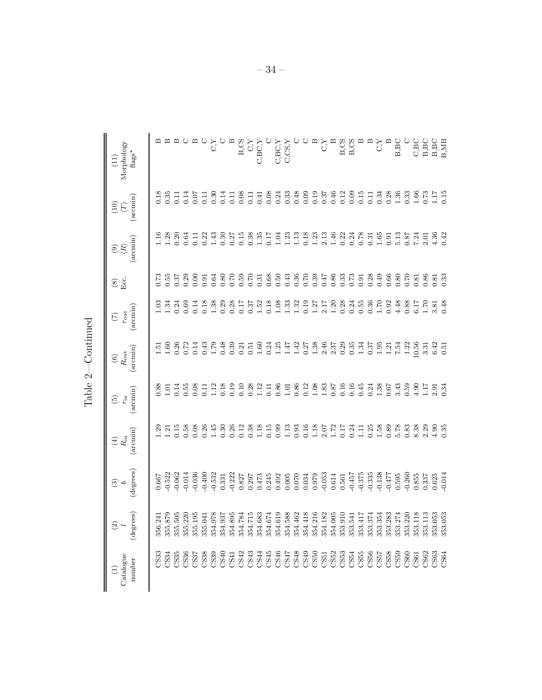| Catalogue<br>number | ees)<br>degre)<br>$\hat{\omega}$ - | (degrees)<br>$\frac{3}{6}$ | (arcnin)<br>$\bigoplus_{\mathbf{R}_{\text{in}}}$ | $(\arcsin)$<br>$r_{\rm in}$<br>$\widetilde{\mathfrak{G}}$ | (arcnin)<br>$\mathop{R_{\mathrm{out}}}$                     | $(\arcsin)$<br>$\sum\limits_{r\text{out}}$ | $\frac{8}{\text{E}}$                                                                                                                                                                                                                                                                                            | arcsin<br>$\bigcirc \mathfrak{E}$                                            | $(\arcsin)$<br>$\widehat{\Xi}$ | Morphology<br>${\rm \, flags}^{\star}$<br>$\begin{pmatrix} 1 \\ 2 \end{pmatrix}$ |
|---------------------|------------------------------------|----------------------------|--------------------------------------------------|-----------------------------------------------------------|-------------------------------------------------------------|--------------------------------------------|-----------------------------------------------------------------------------------------------------------------------------------------------------------------------------------------------------------------------------------------------------------------------------------------------------------------|------------------------------------------------------------------------------|--------------------------------|----------------------------------------------------------------------------------|
|                     |                                    | 0.667                      |                                                  |                                                           |                                                             |                                            | 0.73                                                                                                                                                                                                                                                                                                            | 1.16                                                                         | 0.18                           |                                                                                  |
|                     |                                    | 0.522                      | $\frac{29}{1.21}$                                |                                                           |                                                             |                                            | 0.55                                                                                                                                                                                                                                                                                                            | 1.28                                                                         | 0.35                           |                                                                                  |
|                     |                                    | $-0.062$                   |                                                  |                                                           |                                                             |                                            | 0.37                                                                                                                                                                                                                                                                                                            |                                                                              | $\overline{0.11}$              |                                                                                  |
|                     |                                    | $-0.014$                   |                                                  |                                                           |                                                             |                                            | 0.29                                                                                                                                                                                                                                                                                                            | 0.30                                                                         | 0.14                           |                                                                                  |
|                     |                                    | $-0.036$                   | 15888845886<br>0.58861458<br>0.5000              |                                                           |                                                             |                                            | 0.00                                                                                                                                                                                                                                                                                                            |                                                                              | 0.07                           |                                                                                  |
|                     |                                    | $-0.400$                   |                                                  |                                                           |                                                             |                                            | 0.91                                                                                                                                                                                                                                                                                                            | $0.23380$<br>$0.33380$                                                       | 0.11                           |                                                                                  |
|                     |                                    | $-0.532$                   |                                                  |                                                           |                                                             |                                            | $0.64\,$                                                                                                                                                                                                                                                                                                        |                                                                              | 0.30                           |                                                                                  |
|                     |                                    | 0.331                      |                                                  |                                                           |                                                             |                                            |                                                                                                                                                                                                                                                                                                                 |                                                                              | 0.14                           |                                                                                  |
|                     |                                    | $-0.222$                   |                                                  |                                                           |                                                             |                                            |                                                                                                                                                                                                                                                                                                                 |                                                                              | 0.11                           |                                                                                  |
|                     |                                    | 0.827                      |                                                  |                                                           |                                                             |                                            |                                                                                                                                                                                                                                                                                                                 | 0.15                                                                         | 0.08                           | B,CS                                                                             |
|                     |                                    | 0.297                      |                                                  |                                                           |                                                             |                                            |                                                                                                                                                                                                                                                                                                                 |                                                                              | 0.11                           | $\tilde{C}$                                                                      |
|                     |                                    | 0.473                      |                                                  |                                                           |                                                             |                                            |                                                                                                                                                                                                                                                                                                                 |                                                                              | 0.41                           | C, BC, Y                                                                         |
|                     |                                    | 0.245                      |                                                  |                                                           |                                                             |                                            | 0.30<br>0.50<br>0.50<br>0.50<br>0.50                                                                                                                                                                                                                                                                            | $0.35$<br>$1.7$<br>$0.17$                                                    | 0.08                           |                                                                                  |
|                     |                                    | 0.492                      |                                                  |                                                           |                                                             |                                            |                                                                                                                                                                                                                                                                                                                 |                                                                              | 0.24                           |                                                                                  |
|                     |                                    | $0.005\,$                  |                                                  |                                                           |                                                             |                                            |                                                                                                                                                                                                                                                                                                                 |                                                                              | 0.33                           | $\begin{array}{c} \text{C,BC,Y} \\ \text{C,CS,Y} \end{array}$                    |
|                     |                                    | $0.070\,$                  |                                                  |                                                           |                                                             |                                            | $\begin{array}{c} 43 \\ 0.5 \\ 0.5 \\ 0.5 \end{array}$                                                                                                                                                                                                                                                          | $1.33$<br>$1.33$<br>$1.3$                                                    | $0.48\,$                       |                                                                                  |
|                     |                                    | 0.034                      |                                                  |                                                           |                                                             |                                            |                                                                                                                                                                                                                                                                                                                 |                                                                              | 0.09                           |                                                                                  |
|                     |                                    | 0.979                      |                                                  |                                                           |                                                             |                                            |                                                                                                                                                                                                                                                                                                                 |                                                                              | 0.19                           |                                                                                  |
|                     |                                    | $-0.053$                   |                                                  | $0.12$<br>$1.08$<br>$1.87$<br>$0.87$                      | $0.2789533753754$<br>$0.3433333753754$<br>$0.4333337537754$ |                                            |                                                                                                                                                                                                                                                                                                                 | $0.18$<br>$1.33$<br>$2.13$                                                   | 0.37                           |                                                                                  |
|                     |                                    | 0.614                      |                                                  |                                                           |                                                             |                                            | $\begin{array}{c} 47 \\ 368 \\ 0.88 \\ 0.00 \\ 0.00 \\ 0.00 \\ 0.00 \\ 0.00 \\ 0.00 \\ 0.00 \\ 0.00 \\ 0.00 \\ 0.00 \\ 0.00 \\ 0.00 \\ 0.00 \\ 0.00 \\ 0.00 \\ 0.00 \\ 0.00 \\ 0.00 \\ 0.00 \\ 0.00 \\ 0.00 \\ 0.00 \\ 0.00 \\ 0.00 \\ 0.00 \\ 0.00 \\ 0.00 \\ 0.00 \\ 0.00 \\ 0.00 \\ 0.00 \\ 0.00 \\ 0.00 \\$ | 1.46                                                                         | 0.46                           |                                                                                  |
|                     | 353                                | 0.561                      |                                                  | $0.16$<br>$0.16$                                          |                                                             |                                            |                                                                                                                                                                                                                                                                                                                 |                                                                              | 0.12                           | B,CS                                                                             |
|                     | 353                                | $-0.457$                   | 0.24                                             |                                                           |                                                             |                                            |                                                                                                                                                                                                                                                                                                                 |                                                                              | 0.09                           | B,CS                                                                             |
|                     | 353.                               | $-0.375$                   | 1.11                                             | $0.45\,$                                                  |                                                             |                                            |                                                                                                                                                                                                                                                                                                                 | $0.21$<br>$0.21$<br>$0.31$<br>$0.51$<br>$0.51$<br>$0.51$<br>$0.51$<br>$0.51$ | 0.15                           |                                                                                  |
|                     | 353.                               | $-0.335$                   |                                                  |                                                           |                                                             |                                            |                                                                                                                                                                                                                                                                                                                 |                                                                              | $\overline{0}$ .               |                                                                                  |
|                     | 353.                               | $-0.138$                   | $0.25$<br>$1.58$                                 | $\begin{array}{c} 0.24 \\ 1.38 \\ 0.67 \end{array}$       |                                                             |                                            |                                                                                                                                                                                                                                                                                                                 |                                                                              | 0.34                           | Ğ                                                                                |
|                     | 353.                               | $-0.477$                   | 0.89                                             |                                                           |                                                             |                                            |                                                                                                                                                                                                                                                                                                                 |                                                                              | 0.28                           |                                                                                  |
|                     | 353.                               | 0.595                      | 5.78                                             | 3.43                                                      |                                                             |                                            |                                                                                                                                                                                                                                                                                                                 |                                                                              | 1.36                           | B,BC                                                                             |
|                     | 353.                               | $-0.260$                   | 0.83                                             | 0.59                                                      | 1.22                                                        |                                            | 0.70                                                                                                                                                                                                                                                                                                            | 0.87                                                                         | 0.33                           |                                                                                  |
|                     | 353.                               | 0.855                      | 8.38                                             | 4.90                                                      |                                                             |                                            | 0.81                                                                                                                                                                                                                                                                                                            | 7.24                                                                         | 1.66                           |                                                                                  |
|                     | 353.                               | 0.337                      | 2.29                                             | $\overline{L}$                                            | $\frac{10.56}{3.31}$                                        |                                            | 0.86                                                                                                                                                                                                                                                                                                            | 2.01                                                                         | 0.73                           | C,BC<br>B,BC                                                                     |
|                     | 353.<br>353.                       | $0.625$ <sup>-0.014</sup>  | 4.90                                             | $2.91$<br>0.34                                            |                                                             | $3.\overline{81}$<br>0.48                  | $0.81$<br>0.33                                                                                                                                                                                                                                                                                                  | $4.36$<br>0.42                                                               | $1.17$<br>0.15                 | B, BC<br>B, MB                                                                   |
|                     |                                    |                            | 0.35                                             |                                                           | $6.42$<br>0.51                                              |                                            |                                                                                                                                                                                                                                                                                                                 |                                                                              |                                |                                                                                  |

Table 2—Continued Table 2—Continued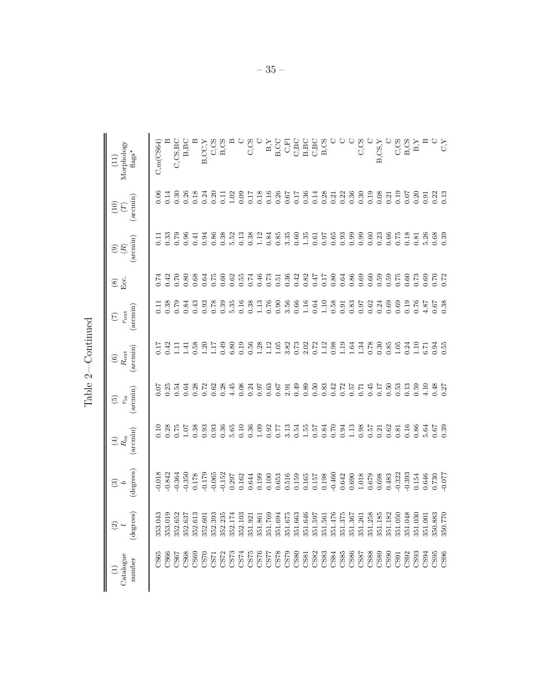| Morphology<br>$\mathrm{flags}^\star$<br>$\begin{pmatrix} 1 \\ 2 \end{pmatrix}$ | C, m(CS64)                  | C, CS, BC                                                                  | B, BC          |                  | B, CC, Y         | C,CS | B,CS                                                     |       |                    | U.<br>U |       | B, Y                                        | B,CC             | C <sub>.</sub> Fl | C, BC                                       | B, B C | C,BC  | B,CS           |                  |       |                | ິ<br>ບ                                                                                                                                                                                                                         |       | B,CS,Y |                          | C,CS       | B,CS                                   | $\vec{B}$ , $\vec{A}$ |                        |                                                         |  |
|--------------------------------------------------------------------------------|-----------------------------|----------------------------------------------------------------------------|----------------|------------------|------------------|------|----------------------------------------------------------|-------|--------------------|---------|-------|---------------------------------------------|------------------|-------------------|---------------------------------------------|--------|-------|----------------|------------------|-------|----------------|--------------------------------------------------------------------------------------------------------------------------------------------------------------------------------------------------------------------------------|-------|--------|--------------------------|------------|----------------------------------------|-----------------------|------------------------|---------------------------------------------------------|--|
| (arcmin)<br>$\widetilde{E}$                                                    | 0.06<br>0.14                | 0.30                                                                       | 0.26           | $0.18$<br>$0.24$ |                  | 0.20 | 0.11                                                     | 1.02  | 0.09               | 0.17    | 0.18  | 0.16                                        | 0.26             | 0.67              | 0.17                                        | 0.36   | 0.14  |                | $0.28$<br>$0.21$ | 0.22  | 0.36           | 0.30                                                                                                                                                                                                                           | 0.19  | 0.08   | 0.21                     | 0.19       | 0.07                                   | 0.20                  | 0.91                   | $\begin{array}{c} 0.22 \\ 0.13 \end{array}$             |  |
| $(\arcsin)$<br>$\circledcirc$                                                  | 0.33<br>$\overline{0}$ . 11 | 0.79                                                                       | 0.96           | 0.41             | 0.94             |      |                                                          |       |                    |         |       | 0.84                                        |                  | $0.356$<br>$0.50$ |                                             | 1.35   |       |                |                  |       |                | $0.57$<br>$0.65$<br>$0.63$<br>$0.39$<br>$0.39$                                                                                                                                                                                 |       |        |                          |            | $0.388$<br>$0.386$<br>$0.58$<br>$0.18$ |                       | $0.81$<br>$5.26$       | $\begin{array}{c} 0.68 \\ 0.39 \end{array}$             |  |
| $\frac{8}{\text{E}}$                                                           | 0.42<br>0.74                |                                                                            | $0.80$<br>0.80 |                  | $0.64$<br>$0.75$ |      | $0.68$<br>$0.68$<br>$0.74$<br>$0.73$<br>$0.73$<br>$0.73$ |       |                    |         |       |                                             | $0.51$<br>$0.36$ |                   | 0.42                                        | 0.82   | 0.47  | 0.17           | 0.80             |       | $0.64$<br>0.86 | 0.69                                                                                                                                                                                                                           | 0.60  |        |                          |            | 69<br>87.09<br>87.09                   |                       |                        | 0.72                                                    |  |
| $(\arcsin)$<br>$r_{\rm out}$<br>$\mathfrak{C}$                                 |                             |                                                                            |                |                  |                  |      |                                                          |       |                    |         |       |                                             |                  |                   |                                             |        |       |                |                  |       |                | $0.68$ $0.76$ $0.76$ $0.76$ $0.76$ $0.76$ $0.76$ $0.76$ $0.76$ $0.76$ $0.76$ $0.76$ $0.76$ $0.76$ $0.76$ $0.76$ $0.76$ $0.76$ $0.76$ $0.76$ $0.76$ $0.76$ $0.76$ $0.76$ $0.76$ $0.76$ $0.76$ $0.76$ $0.76$ $0.76$ $0.76$ $0.7$ |       |        |                          |            |                                        |                       |                        |                                                         |  |
| (arcnin)<br>$\overset{(6)}{R}_{\rm out}$                                       |                             |                                                                            |                |                  |                  |      |                                                          |       |                    |         |       |                                             |                  |                   |                                             |        |       |                |                  |       |                |                                                                                                                                                                                                                                |       |        |                          |            |                                        |                       |                        | 0.55                                                    |  |
| $(\arcsin)$<br>$r_{\rm in}$<br>$\widetilde{\mathfrak{G}}$                      | 0.07<br>0.25                |                                                                            |                |                  |                  |      |                                                          |       |                    |         |       | 0.63                                        | 0.67             | 2.91              | 0.49                                        | 0.89   | 0.50  | 0.83           |                  |       |                |                                                                                                                                                                                                                                | 0.45  | 0.17   | 0.50                     |            | $0.53$<br>$0.13$                       |                       | $0.59$<br>$4.10$       | 0.48<br>0.27                                            |  |
| $(\arcsin)$<br>$\bigoplus_{\mathbf{R}_{\text{in}}}$                            | 0.10                        | $0.75$<br>$0.75$<br>$1.07$                                                 |                | 0.38             | 0.93             |      | $0.36$<br>$5.65$                                         |       | 0.10               | 0.36    | 1.09  | $\begin{array}{c} 0.92 \\ 0.77 \end{array}$ |                  | 3.13              | $\begin{array}{c} 0.54 \\ 1.55 \end{array}$ |        | 0.57  | $0.84$<br>0.70 |                  | 0.94  | $1.13\,$       | 0.98                                                                                                                                                                                                                           | 0.57  | 0.21   | 0.62                     | 0.81       | 0.16                                   | 0.86                  | 5.64                   | $\begin{array}{c} 0.67 \\ 0.39 \end{array}$             |  |
| (degrees)<br>$\circledcirc$                                                    | 0.018                       | $-0.842$<br>$-0.364$<br>$-0.350$<br>$-0.178$<br>$-0.179$                   |                |                  |                  |      | $-0.152$                                                 | 0.297 | $0.162$<br>$0.644$ |         | 0.199 | 0.100                                       | 0.653            | 0.516             | 0.159                                       | 0.165  | 0.157 | 0.198          | $-0.460$         | 0.642 | $\!0.690$      | $1.018\,$                                                                                                                                                                                                                      | 0.679 | 0.698  | 0.483                    | $-0.322$   | $-0.393$                               | 0.154                 | 0.646                  | T <sub>0.0</sub> -730                                   |  |
| (degrees)<br>$\scriptstyle{\mathcal{C}}$                                       | 043<br>353                  | n di di di di di di di di di di di di<br>8 8 8 8 8 8 8 8 8 8 8 8 8 8 8 8 8 |                |                  |                  |      |                                                          |       |                    |         |       |                                             |                  |                   | 351                                         | 351    | 351   | 351            | 351              | 351   | 351            | 351                                                                                                                                                                                                                            | 351   | 351    | 261<br>258<br>182<br>351 | 050<br>351 | .048<br>$351\,$                        | 030<br>351            | $\overline{00}$<br>351 | 883<br>770<br>$\begin{array}{c} 350 \\ 350 \end{array}$ |  |
| Catalogue<br>number                                                            |                             |                                                                            |                |                  |                  |      |                                                          |       |                    |         |       |                                             |                  |                   |                                             |        |       |                |                  |       |                |                                                                                                                                                                                                                                |       |        |                          |            |                                        |                       |                        |                                                         |  |

Table 2—Continued Table 2—Continued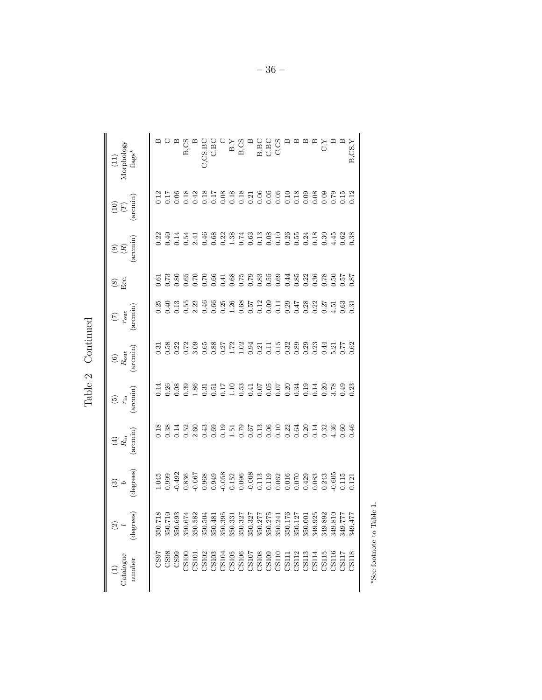| $\Xi$                                                              | Morphology<br>$\mathrm{flags}^\star$                                                  |  |                                                                                                                                                                                                                                         | u su mendiale di mendiale di mendiale di mendiale di mendiale di mendiale di menuruan della di menuruan di men<br>La di menuruan di menuruan di menuruan di menuruan di menuruan di menuruan di menuruan di menuruan di menuruan<br> |  |  |  |  |  |  |  | д<br>Су |  | B, CS, Y |
|--------------------------------------------------------------------|---------------------------------------------------------------------------------------|--|-----------------------------------------------------------------------------------------------------------------------------------------------------------------------------------------------------------------------------------------|--------------------------------------------------------------------------------------------------------------------------------------------------------------------------------------------------------------------------------------|--|--|--|--|--|--|--|---------|--|----------|
| $\widetilde{E}$                                                    | (arcmin)                                                                              |  |                                                                                                                                                                                                                                         |                                                                                                                                                                                                                                      |  |  |  |  |  |  |  |         |  |          |
| $\odot \mathfrak{E}$                                               | arcmin                                                                                |  |                                                                                                                                                                                                                                         |                                                                                                                                                                                                                                      |  |  |  |  |  |  |  |         |  |          |
| $\frac{8}{25}$                                                     |                                                                                       |  |                                                                                                                                                                                                                                         |                                                                                                                                                                                                                                      |  |  |  |  |  |  |  |         |  |          |
| $\sum\limits_{r \text{out}}$                                       | (aremin)                                                                              |  |                                                                                                                                                                                                                                         |                                                                                                                                                                                                                                      |  |  |  |  |  |  |  |         |  |          |
|                                                                    | $\begin{array}{c} \text{(6)} \\ \text{R}_{\text{out}} \\ \text{(arcmin)} \end{array}$ |  |                                                                                                                                                                                                                                         |                                                                                                                                                                                                                                      |  |  |  |  |  |  |  |         |  |          |
| $\widetilde{\mathfrak{G}}$                                         | $\frac{r_{\text{in}}}{r_{\text{in}}}$                                                 |  |                                                                                                                                                                                                                                         |                                                                                                                                                                                                                                      |  |  |  |  |  |  |  |         |  |          |
| $\begin{array}{c} (4) \\ R_{\rm in} \\ {\rm (arcmin)} \end{array}$ |                                                                                       |  |                                                                                                                                                                                                                                         |                                                                                                                                                                                                                                      |  |  |  |  |  |  |  |         |  |          |
| $\circledcirc$                                                     | (degrees)                                                                             |  |                                                                                                                                                                                                                                         |                                                                                                                                                                                                                                      |  |  |  |  |  |  |  |         |  |          |
| $\omega$                                                           | ි<br>degre                                                                            |  |                                                                                                                                                                                                                                         |                                                                                                                                                                                                                                      |  |  |  |  |  |  |  |         |  |          |
|                                                                    | $\begin{array}{c} \mathtt{Database} \\ \mathtt{number} \end{array}$                   |  | $\begin{array}{l} 55\,83.8\,85.8\,25.7\,87.8\,88.8\,25.7\,87.8\,26.8\,27.8\,27.8\,28.8\,27.8\,27.8\,28.8\,27.8\,29.8\,20.8\,20.8\,20.8\,20.8\,20.8\,20.8\,20.8\,20.8\,20.8\,20.8\,20.8\,20.8\,20.8\,20.8\,20.8\,20.8\,20.8\,20.8\,20.8$ |                                                                                                                                                                                                                                      |  |  |  |  |  |  |  |         |  |          |

Table 2—Continued Table 2—Continued

> $^{\star}$  See footnote to Table 1. See footnote to Table 1.